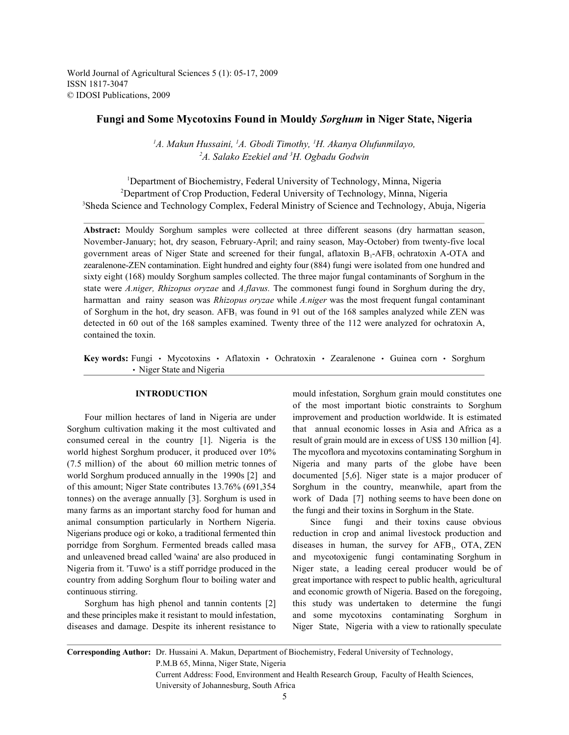World Journal of Agricultural Sciences 5 (1): 05-17, 2009 ISSN 1817-3047 © IDOSI Publications, 2009

# **Fungi and Some Mycotoxins Found in Mouldy** *Sorghum* **in Niger State, Nigeria**

<sup>1</sup>A. Makun Hussaini, <sup>1</sup>A. Gbodi Timothy, <sup>1</sup>H. Akanya Olufunmilayo, <sup>2</sup>A. Salako Ezekiel and <sup>3</sup>H. Ogbadu Godwin

<sup>1</sup>Department of Biochemistry, Federal University of Technology, Minna, Nigeria <sup>2</sup>Department of Crop Production, Federal University of Technology, Minna, Nigeria <sup>3</sup>Sheda Science and Technology Complex, Federal Ministry of Science and Technology, Abuja, Nigeria

**Abstract:** Mouldy Sorghum samples were collected at three different seasons (dry harmattan season, November-January; hot, dry season, February-April; and rainy season, May-October) from twenty-five local government areas of Niger State and screened for their fungal, aflatoxin  $B_1$ -AFB, ochratoxin A-OTA and zearalenone-ZEN contamination. Eight hundred and eighty four (884) fungi were isolated from one hundred and sixty eight (168) mouldy Sorghum samples collected. The three major fungal contaminants of Sorghum in the state were *A.niger, Rhizopus oryzae* and *A.flavus.* The commonest fungi found in Sorghum during the dry, harmattan and rainy season was *Rhizopus oryzae* while *A.niger* was the most frequent fungal contaminant of Sorghum in the hot, dry season.  $AFB<sub>1</sub>$  was found in 91 out of the 168 samples analyzed while ZEN was detected in 60 out of the 168 samples examined. Twenty three of the 112 were analyzed for ochratoxin A, contained the toxin.

Key words: Fungi · Mycotoxins · Aflatoxin · Ochratoxin · Zearalenone · Guinea corn · Sorghum • Niger State and Nigeria

Sorghum cultivation making it the most cultivated and that annual economic losses in Asia and Africa as a consumed cereal in the country [1]. Nigeria is the result of grain mould are in excess of US\$ 130 million [4]. world highest Sorghum producer, it produced over 10% The mycoflora and mycotoxins contaminating Sorghum in (7.5 million) of the about 60 million metric tonnes of Nigeria and many parts of the globe have been world Sorghum produced annually in the 1990s [2] and documented [5,6]. Niger state is a major producer of of this amount; Niger State contributes 13.76% (691,354 Sorghum in the country, meanwhile, apart from the tonnes) on the average annually [3]. Sorghum is used in work of Dada [7] nothing seems to have been done on many farms as an important starchy food for human and the fungi and their toxins in Sorghum in the State. animal consumption particularly in Northern Nigeria. Since fungi and their toxins cause obvious Nigerians produce ogi or koko, a traditional fermented thin reduction in crop and animal livestock production and porridge from Sorghum. Fermented breads called masa and unleavened bread called 'waina' are also produced in and mycotoxigenic fungi contaminating Sorghum in Nigeria from it. 'Tuwo' is a stiff porridge produced in the Niger state, a leading cereal producer would be of country from adding Sorghum flour to boiling water and great importance with respect to public health, agricultural continuous stirring. and economic growth of Nigeria. Based on the foregoing,

**INTRODUCTION** mould infestation, Sorghum grain mould constitutes one Four million hectares of land in Nigeria are under improvement and production worldwide. It is estimated of the most important biotic constraints to Sorghum

Sorghum has high phenol and tannin contents [2] this study was undertaken to determine the fungi and these principles make it resistant to mould infestation, and some mycotoxins contaminating Sorghum in diseases and damage. Despite its inherent resistance to Niger State, Nigeria with a view to rationally speculate diseases in human, the survey for AFB<sub>1</sub>, OTA, ZEN

**Corresponding Author:** Dr. Hussaini A. Makun, Department of Biochemistry, Federal University of Technology, P.M.B 65, Minna, Niger State, Nigeria Current Address: Food, Environment and Health Research Group, Faculty of Health Sciences, University of Johannesburg, South Africa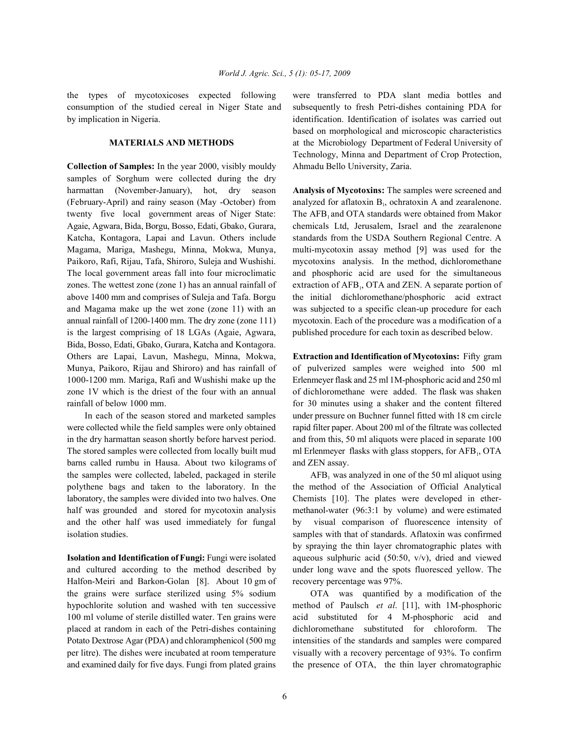consumption of the studied cereal in Niger State and subsequently to fresh Petri-dishes containing PDA for by implication in Nigeria. identification. Identification of isolates was carried out

**Collection of Samples:** In the year 2000, visibly mouldy Ahmadu Bello University, Zaria. samples of Sorghum were collected during the dry harmattan (November-January), hot, dry season **Analysis of Mycotoxins:** The samples were screened and (February-April) and rainy season (May -October) from twenty five local government areas of Niger State: Agaie, Agwara, Bida, Borgu, Bosso, Edati, Gbako, Gurara, chemicals Ltd, Jerusalem, Israel and the zearalenone Katcha, Kontagora, Lapai and Lavun. Others include standards from the USDA Southern Regional Centre. A Magama, Mariga, Mashegu, Minna, Mokwa, Munya, multi-mycotoxin assay method [9] was used for the Paikoro, Rafi, Rijau, Tafa, Shiroro, Suleja and Wushishi. mycotoxins analysis. In the method, dichloromethane The local government areas fall into four microclimatic and phosphoric acid are used for the simultaneous zones. The wettest zone (zone 1) has an annual rainfall of above 1400 mm and comprises of Suleja and Tafa. Borgu the initial dichloromethane/phosphoric acid extract and Magama make up the wet zone (zone 11) with an was subjected to a specific clean-up procedure for each annual rainfall of 1200-1400 mm. The dry zone (zone 111) mycotoxin. Each of the procedure was a modification of a is the largest comprising of 18 LGAs (Agaie, Agwara, published procedure for each toxin as described below. Bida, Bosso, Edati, Gbako, Gurara, Katcha and Kontagora. Others are Lapai, Lavun, Mashegu, Minna, Mokwa, **Extraction and Identification of Mycotoxins:** Fifty gram Munya, Paikoro, Rijau and Shiroro) and has rainfall of of pulverized samples were weighed into 500 ml 1000-1200 mm. Mariga, Rafi and Wushishi make up the Erlenmeyer flask and 25 ml 1M-phosphoric acid and 250 ml zone 1V which is the driest of the four with an annual of dichloromethane were added. The flask was shaken

were collected while the field samples were only obtained rapid filter paper. About 200 ml of the filtrate was collected in the dry harmattan season shortly before harvest period. and from this, 50 ml aliquots were placed in separate 100 The stored samples were collected from locally built mud barns called rumbu in Hausa. About two kilograms of and ZEN assay. the samples were collected, labeled, packaged in sterile laboratory, the samples were divided into two halves. One Chemists [10]. The plates were developed in etherhalf was grounded and stored for mycotoxin analysis methanol-water (96:3:1 by volume) and were estimated

and cultured according to the method described by under long wave and the spots fluoresced yellow. The Halfon-Meiri and Barkon-Golan [8]. About 10 gm of recovery percentage was 97%. the grains were surface sterilized using 5% sodium OTA was quantified by a modification of the hypochlorite solution and washed with ten successive method of Paulsch *et al*. [11], with 1M-phosphoric 100 ml volume of sterile distilled water. Ten grains were acid substituted for 4 M-phosphoric acid and placed at random in each of the Petri-dishes containing dichloromethane substituted for chloroform. The Potato Dextrose Agar (PDA) and chloramphenicol (500 mg intensities of the standards and samples were compared per litre). The dishes were incubated at room temperature visually with a recovery percentage of 93%. To confirm and examined daily for five days. Fungi from plated grains the presence of OTA, the thin layer chromatographic

the types of mycotoxicoses expected following were transferred to PDA slant media bottles and **MATERIALS AND METHODS** at the Microbiology Department of Federal University of based on morphological and microscopic characteristics Technology, Minna and Department of Crop Protection,

> analyzed for aflatoxin  $B<sub>1</sub>$ , ochratoxin A and zearalenone. The AFB<sub>1</sub> and OTA standards were obtained from Makor extraction of AFB<sub>1</sub>, OTA and ZEN. A separate portion of

rainfall of below 1000 mm. for 30 minutes using a shaker and the content filtered In each of the season stored and marketed samples under pressure on Buchner funnel fitted with 18 cm circle ml Erlenmeyer flasks with glass stoppers, for AFB, OTA

polythene bags and taken to the laboratory. In the the method of the Association of Official Analytical and the other half was used immediately for fungal by visual comparison of fluorescence intensity of isolation studies. samples with that of standards. Aflatoxin was confirmed **Isolation and Identification of Fungi:** Fungi were isolated aqueous sulphuric acid (50:50, v/v), dried and viewed  $AFB<sub>1</sub>$  was analyzed in one of the 50 ml aliquot using by spraying the thin layer chromatographic plates with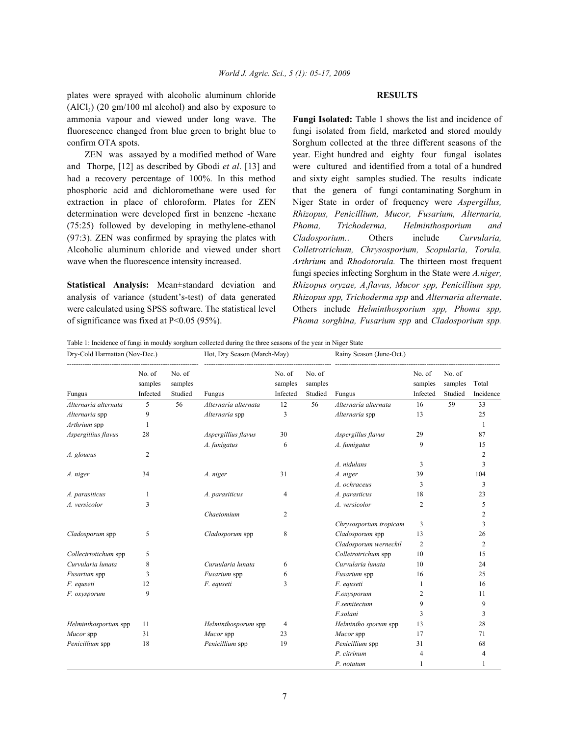plates were sprayed with alcoholic aluminum chloride **RESULTS**  $(AICI<sub>3</sub>)$  (20 gm/100 ml alcohol) and also by exposure to ammonia vapour and viewed under long wave. The **Fungi Isolated:** Table 1 shows the list and incidence of

and Thorpe, [12] as described by Gbodi *et al*. [13] and were cultured and identified from a total of a hundred had a recovery percentage of 100%. In this method and sixty eight samples studied. The results indicate phosphoric acid and dichloromethane were used for that the genera of fungi contaminating Sorghum in extraction in place of chloroform. Plates for ZEN Niger State in order of frequency were *Aspergillus,* determination were developed first in benzene -hexane *Rhizopus, Penicillium, Mucor, Fusarium, Alternaria,* (75:25) followed by developing in methylene-ethanol *Phoma, Trichoderma, Helminthosporium and* (97:3). ZEN was confirmed by spraying the plates with *Cladosporium.*. Others include *Curvularia,* Alcoholic aluminum chloride and viewed under short *Colletrotrichum, Chrysosporium, Scopularia, Torula,* wave when the fluorescence intensity increased. *Arthrium* and *Rhodotorula.* The thirteen most frequent

analysis of variance (student's-test) of data generated *Rhizopus spp, Trichoderma spp* and *Alternaria alternate*. were calculated using SPSS software. The statistical level Others include *Helminthosporium spp, Phoma spp,* of significance was fixed at P<0.05 (95%). *Phoma sorghina, Fusarium spp* and *Cladosporium spp.*

fluorescence changed from blue green to bright blue to fungi isolated from field, marketed and stored mouldy confirm OTA spots. Sorghum collected at the three different seasons of the ZEN was assayed by a modified method of Ware year. Eight hundred and eighty four fungal isolates **Statistical Analysis:** Mean±standard deviation and *Rhizopus oryzae, A.flavus, Mucor spp, Penicillium spp,* fungi species infecting Sorghum in the State were *A.niger,*

Table 1: Incidence of fungi in mouldy sorghum collected during the three seasons of the year in Niger State

| Dry-Cold Harmattan (Nov-Dec.) |                               |                              | Hot, Dry Season (March-May) |                               |                              | Rainy Season (June-Oct.) |                               |                              |                    |
|-------------------------------|-------------------------------|------------------------------|-----------------------------|-------------------------------|------------------------------|--------------------------|-------------------------------|------------------------------|--------------------|
| Fungus                        | No. of<br>samples<br>Infected | No. of<br>samples<br>Studied | Fungus                      | No. of<br>samples<br>Infected | No. of<br>samples<br>Studied | Fungus                   | No. of<br>samples<br>Infected | No. of<br>samples<br>Studied | Total<br>Incidence |
| Alternaria alternata          | 5                             | 56                           | Alternaria alternata        | 12                            | 56                           | Alternaria alternata     | 16                            | 59                           | 33                 |
| Alternaria spp                | 9                             |                              | Alternaria spp              | 3                             |                              | Alternaria spp           | 13                            |                              | 25                 |
| Arthrium spp                  | 1                             |                              |                             |                               |                              |                          |                               |                              | -1                 |
| Aspergillius flavus           | 28                            |                              | Aspergillius flavus         | 30                            |                              | Aspergillus flavus       | 29                            |                              | 87                 |
|                               |                               |                              | A. funigatus                | 6                             |                              | A. fumigatus             | 9                             |                              | 15                 |
| A. gloucus                    | 2                             |                              |                             |                               |                              |                          |                               |                              | 2                  |
|                               |                               |                              |                             |                               |                              | A. nidulans              | 3                             |                              | 3                  |
| A. niger                      | 34                            |                              | A. niger                    | 31                            |                              | A. niger                 | 39                            |                              | 104                |
|                               |                               |                              |                             |                               |                              | A. ochraceus             | 3                             |                              | 3                  |
| A. parasiticus                | 1                             |                              | A. parasiticus              | 4                             |                              | A. parasticus            | 18                            |                              | 23                 |
| A. versicolor                 | 3                             |                              |                             |                               |                              | A. versicolor            | 2                             |                              | 5                  |
|                               |                               |                              | Chaetomium                  | 2                             |                              |                          |                               |                              | 2                  |
|                               |                               |                              |                             |                               |                              | Chrysosporium tropicam   | 3                             |                              | 3                  |
| Cladosporum spp               | 5                             |                              | Cladosporum spp             | 8                             |                              | Cladosporum spp          | 13                            |                              | 26                 |
|                               |                               |                              |                             |                               |                              | Cladosporum werneckil    | $\overline{c}$                |                              | $\overline{2}$     |
| Collectrtotichum spp          | 5                             |                              |                             |                               |                              | Colletrotrichum spp      | 10                            |                              | 15                 |
| Curvularia lunata             | 8                             |                              | Curuularia lunata           | 6                             |                              | Curvularia lunata        | 10                            |                              | 24                 |
| Fusarium spp                  | 3                             |                              | Fusarium spp                | 6                             |                              | Fusarium spp             | 16                            |                              | 25                 |
| F. equseti                    | 12                            |                              | F. equseti                  | 3                             |                              | F. equseti               | 1                             |                              | 16                 |
| F. oxysporum                  | 9                             |                              |                             |                               |                              | F.oxysporum              | 2                             |                              | 11                 |
|                               |                               |                              |                             |                               |                              | F.semitectum             | 9                             |                              | 9                  |
|                               |                               |                              |                             |                               |                              | F.solani                 | 3                             |                              | 3                  |
| Helminthosporium spp          | 11                            |                              | Helminthosporum spp         | 4                             |                              | Helmintho sporum spp     | 13                            |                              | 28                 |
| Mucor spp                     | 31                            |                              | Mucor spp                   | 23                            |                              | Mucor spp                | 17                            |                              | 71                 |
| Penicillium spp               | 18                            |                              | Penicillium spp             | 19                            |                              | Penicillium spp          | 31                            |                              | 68                 |
|                               |                               |                              |                             |                               |                              | P. citrinum              | 4                             |                              | 4                  |
|                               |                               |                              |                             |                               |                              | P. notatum               | 1                             |                              | 1                  |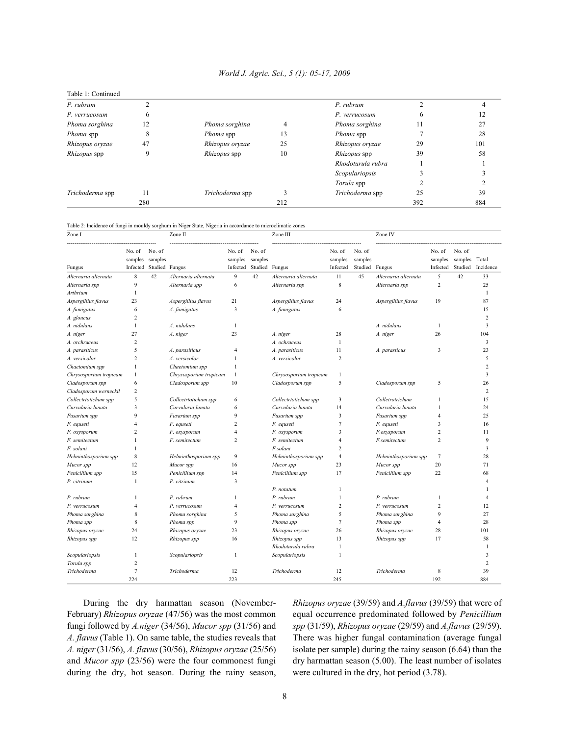| Table 1: Continued |     |                     |     |                   |              |     |
|--------------------|-----|---------------------|-----|-------------------|--------------|-----|
| P. rubrum          |     |                     |     | P. rubrum         |              |     |
| P. verrucosum      |     |                     |     | P. verrucosum     | <sub>6</sub> | 12  |
| Phoma sorghina     | 12  | Phoma sorghina      |     | Phoma sorghina    | 11           | 27  |
| Phoma spp          | δ   | <i>Phoma</i> spp    | 13  | Phoma spp         |              | 28  |
| Rhizopus oryzae    | 47  | Rhizopus oryzae     | 25  | Rhizopus oryzae   | 29           | 101 |
| Rhizopus spp       |     | <i>Rhizopus</i> spp | 10  | Rhizopus spp      | 39           | 58  |
|                    |     |                     |     | Rhodoturula rubra |              |     |
|                    |     |                     |     | Scopulariopsis    |              |     |
|                    |     |                     |     | Torula spp        |              |     |
| Trichoderma spp    |     | Trichoderma spp     |     | Trichoderma spp   | 25           | 39  |
|                    | 280 |                     | 212 |                   | 392          | 884 |

### Table 2: Incidence of fungi in mouldy sorghum in Niger State, Nigeria in accordance to microclimatic zones

| Zone I                     |                   |                                              | Zone II                |                               |                                     | Zone III               |                               |                                     | Zone IV              |                               |                              |                    |
|----------------------------|-------------------|----------------------------------------------|------------------------|-------------------------------|-------------------------------------|------------------------|-------------------------------|-------------------------------------|----------------------|-------------------------------|------------------------------|--------------------|
| Fungus                     | No. of<br>samples | No. of<br>samples<br>Infected Studied Fungus |                        | No. of<br>samples<br>Infected | No. of<br>samples<br>Studied Fungus |                        | No. of<br>samples<br>Infected | No. of<br>samples<br>Studied Fungus |                      | No. of<br>samples<br>Infected | No. of<br>samples<br>Studied | Total<br>Incidence |
|                            | $\,$ 8 $\,$       | 42                                           |                        | 9                             | 42                                  |                        | 11                            | 45                                  |                      | 5                             | 42                           | 33                 |
| Alternaria alternata       | 9                 |                                              | Alternaria alternata   | 6                             |                                     | Alternaria alternata   | 8                             |                                     | Alternaria alternata | $\overline{c}$                |                              | 25                 |
| Alternaria spp<br>Arthrium | $\mathbf{1}$      |                                              | Alternaria spp         |                               |                                     | Alternaria spp         |                               |                                     | Alternaria spp       |                               |                              | 1                  |
|                            | 23                |                                              |                        |                               |                                     |                        |                               |                                     |                      | 19                            |                              | 87                 |
| Aspergillius flavus        | 6                 |                                              | Aspergillius flavus    | 21<br>3                       |                                     | Aspergillius flavus    | 24<br>6                       |                                     | Aspergillius flavus  |                               |                              | 15                 |
| A. fumigatus               | 2                 |                                              | A. fumigatus           |                               |                                     | A. fumigatus           |                               |                                     |                      |                               |                              | $\overline{c}$     |
| A. gloucus                 | 1                 |                                              | A. nidulans            |                               |                                     |                        |                               |                                     | A. nidulans          | $\mathbf{1}$                  |                              | 3                  |
| A. nidulans                |                   |                                              |                        | 1                             |                                     |                        |                               |                                     |                      |                               |                              |                    |
| A. niger                   | 27                |                                              | A. niger               | 23                            |                                     | A. niger               | 28                            |                                     | A. niger             | 26                            |                              | 104                |
| A. orchraceus              | 2                 |                                              |                        |                               |                                     | A. ochraceus           | $\mathbf{1}$                  |                                     |                      |                               |                              | 3                  |
| A. parasiticus             | 5                 |                                              | A. parasiticus         | $\overline{4}$                |                                     | A. parasiticus         | 11                            |                                     | A. parasticus        | 3                             |                              | 23                 |
| A. versicolor              | $\overline{c}$    |                                              | A. versicolor          | $\mathbf{1}$                  |                                     | A. versicolor          | $\overline{c}$                |                                     |                      |                               |                              | 5                  |
| Chaetomium spp             | 1                 |                                              | Chaetomium spp         | 1                             |                                     |                        |                               |                                     |                      |                               |                              | $\overline{2}$     |
| Chrysosporium tropicam     | $\mathbf{1}$      |                                              | Chrysosporium tropicam | $\mathbf{1}$                  |                                     | Chrysosporium tropicam | 1                             |                                     |                      |                               |                              | 3                  |
| Cladosporum spp            | 6                 |                                              | Cladosporum spp        | 10                            |                                     | Cladosporum spp        | 5                             |                                     | Cladosporum spp      | 5                             |                              | 26                 |
| Cladosporum werneckil      | 2                 |                                              |                        |                               |                                     |                        |                               |                                     |                      |                               |                              | $\overline{2}$     |
| Collectrtotichum spp       | 5                 |                                              | Collectrtotichum spp   | 6                             |                                     | Collectrtotichum spp   | 3                             |                                     | Colletrotrichum      | 1                             |                              | 15                 |
| Curvularia lunata          | 3                 |                                              | Curvularia lunata      | 6                             |                                     | Curvularia lunata      | 14                            |                                     | Curvularia lunata    | 1                             |                              | 24                 |
| Fusarium spp               | 9                 |                                              | Fusarium spp           | 9                             |                                     | Fusarium spp           | 3                             |                                     | Fusarium spp         | 4                             |                              | 25                 |
| F. equseti                 | 4                 |                                              | F. equseti             | $\overline{2}$                |                                     | F. equseti             | $\tau$                        |                                     | F. equseti           | 3                             |                              | 16                 |
| F. oxysporum               | $\overline{c}$    |                                              | F. oxysporum           | $\overline{4}$                |                                     | F. oxysporum           | 3                             |                                     | F.oxysporum          | $\overline{c}$                |                              | 11                 |
| F. semitectum              | 1                 |                                              | F. semitectum          | $\overline{c}$                |                                     | F. semitectum          | $\overline{4}$                |                                     | F.semitectum         | $\overline{c}$                |                              | 9                  |
| F. solani                  | 1                 |                                              |                        |                               |                                     | F.solani               | $\overline{2}$                |                                     |                      |                               |                              | 3                  |
| Helminthosporium spp       | $\,$ 8 $\,$       |                                              | Helminthosporium spp   | 9                             |                                     | Helminthosporium spp   | $\overline{4}$                |                                     | Helminthosporium spp | $\overline{7}$                |                              | 28                 |
| Mucor spp                  | 12                |                                              | Mucor spp              | 16                            |                                     | Mucor spp              | 23                            |                                     | Mucor spp            | 20                            |                              | 71                 |
| Penicillium spp            | 15                |                                              | Penicillium spp        | 14                            |                                     | Penicillium spp        | 17                            |                                     | Penicillium spp      | 22                            |                              | 68                 |
| P. citrinum                | $\mathbf{1}$      |                                              | P. citrinum            | 3                             |                                     |                        |                               |                                     |                      |                               |                              | $\overline{4}$     |
|                            |                   |                                              |                        |                               |                                     | P. notatum             | 1                             |                                     |                      |                               |                              | -1                 |
| P. rubrum                  | 1                 |                                              | P. rubrum              | $\mathbf{1}$                  |                                     | P. rubrum              | 1                             |                                     | P. rubrum            | $\mathbf{1}$                  |                              | $\overline{4}$     |
| P. verrucosum              | $\overline{4}$    |                                              | P. verrucosum          | $\overline{4}$                |                                     | P. verrucosum          | $\overline{c}$                |                                     | P. verrucosum        | $\overline{2}$                |                              | 12                 |
| Phoma sorghina             | 8                 |                                              | Phoma sorghina         | 5                             |                                     | Phoma sorghina         | 5                             |                                     | Phoma sorghina       | 9                             |                              | 27                 |
| Phoma spp                  | 8                 |                                              | Phoma spp              | 9                             |                                     | Phoma spp              | $\overline{7}$                |                                     | Phoma spp            | $\overline{4}$                |                              | 28                 |
| Rhizopus oryzae            | 24                |                                              | Rhizopus oryzae        | 23                            |                                     | Rhizopus oryzae        | 26                            |                                     | Rhizopus oryzae      | 28                            |                              | 101                |
| Rhizopus spp               | 12                |                                              | Rhizopus spp           | 16                            |                                     | Rhizopus spp           | 13                            |                                     | Rhizopus spp         | 17                            |                              | 58                 |
|                            |                   |                                              |                        |                               |                                     | Rhodoturula rubra      | 1                             |                                     |                      |                               |                              | $\mathbf{1}$       |
| Scopulariopsis             | $\mathbf{1}$      |                                              | Scopulariopsis         | $\mathbf{1}$                  |                                     | Scopulariopsis         | 1                             |                                     |                      |                               |                              | 3                  |
| Torula spp                 | $\overline{c}$    |                                              |                        |                               |                                     |                        |                               |                                     |                      |                               |                              | $\overline{2}$     |
| Trichoderma                | 7                 |                                              | Trichoderma            | 12                            |                                     | Trichoderma            | 12                            |                                     | Trichoderma          | 8                             |                              | 39                 |
|                            | 224               |                                              |                        | 223                           |                                     |                        | 245                           |                                     |                      | 192                           |                              | 884                |

February) *Rhizopus oryzae* (47/56) was the most common equal occurrence predominated followed by *Penicillium* fungi followed by *A.niger* (34/56), *Mucor spp* (31/56) and *spp* (31/59), *Rhizopus oryzae* (29/59) and *A.flavus* (29/59). *A. flavus* (Table 1). On same table, the studies reveals that There was higher fungal contamination (average fungal *A. niger* (31/56), *A. flavus* (30/56), *Rhizopus oryzae* (25/56) isolate per sample) during the rainy season (6.64) than the and *Mucor spp* (23/56) were the four commonest fungi dry harmattan season (5.00). The least number of isolates during the dry, hot season. During the rainy season, were cultured in the dry, hot period (3.78).

During the dry harmattan season (November- *Rhizopus oryzae* (39/59) and *A.flavus* (39/59) that were of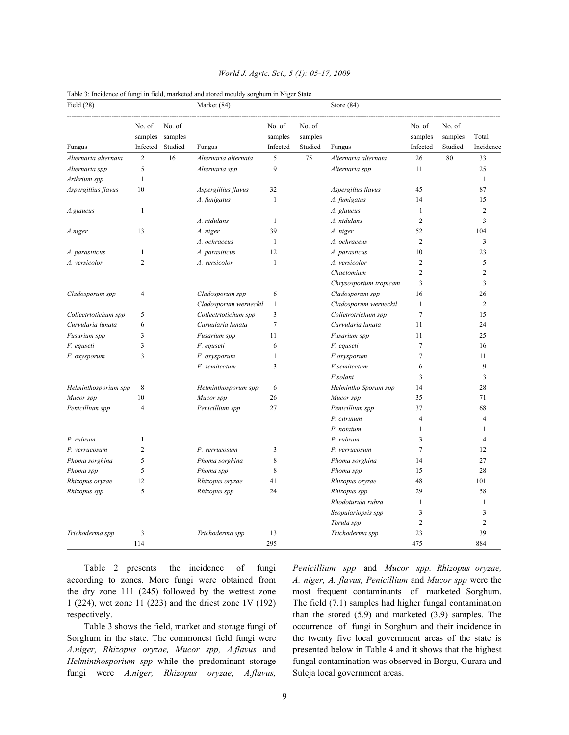| No. of<br>No. of<br>No. of<br>No. of<br>No. of<br>No. of<br>Total<br>samples<br>samples<br>samples<br>samples<br>samples<br>samples<br>Incidence<br>Infected<br>Studied<br>Infected<br>Studied<br>Infected<br>Studied<br>Fungus<br>Fungus<br>Fungus<br>$\overline{2}$<br>16<br>5<br>75<br>26<br>33<br>Alternaria alternata<br>Alternaria alternata<br>Alternaria alternata<br>80<br>5<br>9<br>25<br>11<br>Alternaria spp<br>Alternaria spp<br>Alternaria spp<br>$\mathbf{1}$<br>Arthrium spp<br>$\mathbf{1}$<br>Aspergillius flavus<br>10<br>32<br>45<br>87<br>Aspergillius flavus<br>Aspergillus flavus<br>$\mathbf{1}$<br>14<br>15<br>A. funigatus<br>A. fumigatus<br>$\mathbf{1}$<br>$\mathbf{1}$<br>$\overline{2}$<br>A. glaucus<br>A.glaucus<br>A. nidulans<br>A. nidulans<br>1<br>2<br>3<br>39<br>52<br>104<br>13<br>A. niger<br>A. niger<br>A.niger<br>$\overline{c}$<br>A. ochraceus<br>$\mathbf{1}$<br>A. ochraceus<br>3<br>$\mathbf{1}$<br>12<br>23<br>A. parasiticus<br>A. parasiticus<br>A. parasticus<br>10<br>$\overline{2}$<br>5<br>1<br>$\overline{c}$<br>A. versicolor<br>A. versicolor<br>A. versicolor<br>$\overline{c}$<br>$\overline{2}$<br>Chaetomium<br>$\overline{3}$<br>$\overline{3}$<br>Chrysosporium tropicam<br>16<br>26<br>Cladosporum spp<br>$\overline{4}$<br>Cladosporum spp<br>6<br>Cladosporum spp<br>$\mathbf{1}$<br>Cladosporum werneckil<br>$\mathbf{1}$<br>2<br>Cladosporum werneckil<br>$\tau$<br>5<br>3<br>15<br>Collectrtotichum spp<br>Collectrtotichum spp<br>Colletrotrichum spp<br>$\overline{7}$<br>6<br>11<br>24<br>Curvularia lunata<br>Curuularia lunata<br>Curvularia lunata<br>3<br>25<br>Fusarium spp<br>Fusarium spp<br>11<br>Fusarium spp<br>11<br>3<br>6<br>7<br>16<br>F. equseti<br>F. equseti<br>F. equseti<br>3<br>$\mathbf{1}$<br>$\overline{7}$<br>11<br>F. oxysporum<br>F.oxysporum<br>F. oxysporum<br>$\mathbf Q$<br>3<br>F.semitectum<br>F. semitectum<br>6<br>F.solani<br>3<br>3<br>28<br>8<br>Helminthosporium spp<br>Helminthosporum spp<br>6<br>Helmintho Sporum spp<br>14<br>26<br>71<br>10<br>35<br>Mucor spp<br>Mucor spp<br>Mucor spp<br>$\overline{4}$<br>Penicillium spp<br>27<br>Penicillium spp<br>37<br>68<br>Penicillium spp<br>P. citrinum<br>$\overline{4}$<br>$\overline{4}$<br>$\mathbf{1}$<br>$\mathbf{1}$<br>P. notatum<br>P. rubrum<br>$\mathbf{1}$<br>P. rubrum<br>3<br>$\overline{4}$<br>$\overline{2}$<br>3<br>7<br>12<br>P. verrucosum<br>P. verrucosum<br>P. verrucosum<br>5<br>$\,$ 8 $\,$<br>27<br>Phoma sorghina<br>Phoma sorghina<br>Phoma sorghina<br>14<br>5<br>8<br>15<br>28<br>Phoma spp<br>Phoma spp<br>Phoma spp<br>12<br>41<br>48<br>101<br>Rhizopus oryzae<br>Rhizopus oryzae<br>Rhizopus oryzae<br>5<br>58<br>24<br>29<br>Rhizopus spp<br>Rhizopus spp<br>Rhizopus spp<br>Rhodoturula rubra<br>$\mathbf{1}$<br>$\mathbf{1}$<br>3<br>3<br>Scopulariopsis spp<br>$\overline{2}$<br>Torula spp<br>2<br>39<br>Trichoderma spp<br>Trichoderma spp<br>3<br>13<br>Trichoderma spp<br>23 | Field $(28)$ |  | Market (84) |  | Store $(84)$ |  |  |
|-----------------------------------------------------------------------------------------------------------------------------------------------------------------------------------------------------------------------------------------------------------------------------------------------------------------------------------------------------------------------------------------------------------------------------------------------------------------------------------------------------------------------------------------------------------------------------------------------------------------------------------------------------------------------------------------------------------------------------------------------------------------------------------------------------------------------------------------------------------------------------------------------------------------------------------------------------------------------------------------------------------------------------------------------------------------------------------------------------------------------------------------------------------------------------------------------------------------------------------------------------------------------------------------------------------------------------------------------------------------------------------------------------------------------------------------------------------------------------------------------------------------------------------------------------------------------------------------------------------------------------------------------------------------------------------------------------------------------------------------------------------------------------------------------------------------------------------------------------------------------------------------------------------------------------------------------------------------------------------------------------------------------------------------------------------------------------------------------------------------------------------------------------------------------------------------------------------------------------------------------------------------------------------------------------------------------------------------------------------------------------------------------------------------------------------------------------------------------------------------------------------------------------------------------------------------------------------------------------------------------------------------------------------------------------------------------------------------------------------------------------------------------------------------------------------------------------------------------------------------------------------------------------------------------------------------------------------------------------------------|--------------|--|-------------|--|--------------|--|--|
|                                                                                                                                                                                                                                                                                                                                                                                                                                                                                                                                                                                                                                                                                                                                                                                                                                                                                                                                                                                                                                                                                                                                                                                                                                                                                                                                                                                                                                                                                                                                                                                                                                                                                                                                                                                                                                                                                                                                                                                                                                                                                                                                                                                                                                                                                                                                                                                                                                                                                                                                                                                                                                                                                                                                                                                                                                                                                                                                                                                         |              |  |             |  |              |  |  |
|                                                                                                                                                                                                                                                                                                                                                                                                                                                                                                                                                                                                                                                                                                                                                                                                                                                                                                                                                                                                                                                                                                                                                                                                                                                                                                                                                                                                                                                                                                                                                                                                                                                                                                                                                                                                                                                                                                                                                                                                                                                                                                                                                                                                                                                                                                                                                                                                                                                                                                                                                                                                                                                                                                                                                                                                                                                                                                                                                                                         |              |  |             |  |              |  |  |
|                                                                                                                                                                                                                                                                                                                                                                                                                                                                                                                                                                                                                                                                                                                                                                                                                                                                                                                                                                                                                                                                                                                                                                                                                                                                                                                                                                                                                                                                                                                                                                                                                                                                                                                                                                                                                                                                                                                                                                                                                                                                                                                                                                                                                                                                                                                                                                                                                                                                                                                                                                                                                                                                                                                                                                                                                                                                                                                                                                                         |              |  |             |  |              |  |  |
|                                                                                                                                                                                                                                                                                                                                                                                                                                                                                                                                                                                                                                                                                                                                                                                                                                                                                                                                                                                                                                                                                                                                                                                                                                                                                                                                                                                                                                                                                                                                                                                                                                                                                                                                                                                                                                                                                                                                                                                                                                                                                                                                                                                                                                                                                                                                                                                                                                                                                                                                                                                                                                                                                                                                                                                                                                                                                                                                                                                         |              |  |             |  |              |  |  |
|                                                                                                                                                                                                                                                                                                                                                                                                                                                                                                                                                                                                                                                                                                                                                                                                                                                                                                                                                                                                                                                                                                                                                                                                                                                                                                                                                                                                                                                                                                                                                                                                                                                                                                                                                                                                                                                                                                                                                                                                                                                                                                                                                                                                                                                                                                                                                                                                                                                                                                                                                                                                                                                                                                                                                                                                                                                                                                                                                                                         |              |  |             |  |              |  |  |
|                                                                                                                                                                                                                                                                                                                                                                                                                                                                                                                                                                                                                                                                                                                                                                                                                                                                                                                                                                                                                                                                                                                                                                                                                                                                                                                                                                                                                                                                                                                                                                                                                                                                                                                                                                                                                                                                                                                                                                                                                                                                                                                                                                                                                                                                                                                                                                                                                                                                                                                                                                                                                                                                                                                                                                                                                                                                                                                                                                                         |              |  |             |  |              |  |  |
|                                                                                                                                                                                                                                                                                                                                                                                                                                                                                                                                                                                                                                                                                                                                                                                                                                                                                                                                                                                                                                                                                                                                                                                                                                                                                                                                                                                                                                                                                                                                                                                                                                                                                                                                                                                                                                                                                                                                                                                                                                                                                                                                                                                                                                                                                                                                                                                                                                                                                                                                                                                                                                                                                                                                                                                                                                                                                                                                                                                         |              |  |             |  |              |  |  |
|                                                                                                                                                                                                                                                                                                                                                                                                                                                                                                                                                                                                                                                                                                                                                                                                                                                                                                                                                                                                                                                                                                                                                                                                                                                                                                                                                                                                                                                                                                                                                                                                                                                                                                                                                                                                                                                                                                                                                                                                                                                                                                                                                                                                                                                                                                                                                                                                                                                                                                                                                                                                                                                                                                                                                                                                                                                                                                                                                                                         |              |  |             |  |              |  |  |
|                                                                                                                                                                                                                                                                                                                                                                                                                                                                                                                                                                                                                                                                                                                                                                                                                                                                                                                                                                                                                                                                                                                                                                                                                                                                                                                                                                                                                                                                                                                                                                                                                                                                                                                                                                                                                                                                                                                                                                                                                                                                                                                                                                                                                                                                                                                                                                                                                                                                                                                                                                                                                                                                                                                                                                                                                                                                                                                                                                                         |              |  |             |  |              |  |  |
|                                                                                                                                                                                                                                                                                                                                                                                                                                                                                                                                                                                                                                                                                                                                                                                                                                                                                                                                                                                                                                                                                                                                                                                                                                                                                                                                                                                                                                                                                                                                                                                                                                                                                                                                                                                                                                                                                                                                                                                                                                                                                                                                                                                                                                                                                                                                                                                                                                                                                                                                                                                                                                                                                                                                                                                                                                                                                                                                                                                         |              |  |             |  |              |  |  |
|                                                                                                                                                                                                                                                                                                                                                                                                                                                                                                                                                                                                                                                                                                                                                                                                                                                                                                                                                                                                                                                                                                                                                                                                                                                                                                                                                                                                                                                                                                                                                                                                                                                                                                                                                                                                                                                                                                                                                                                                                                                                                                                                                                                                                                                                                                                                                                                                                                                                                                                                                                                                                                                                                                                                                                                                                                                                                                                                                                                         |              |  |             |  |              |  |  |
|                                                                                                                                                                                                                                                                                                                                                                                                                                                                                                                                                                                                                                                                                                                                                                                                                                                                                                                                                                                                                                                                                                                                                                                                                                                                                                                                                                                                                                                                                                                                                                                                                                                                                                                                                                                                                                                                                                                                                                                                                                                                                                                                                                                                                                                                                                                                                                                                                                                                                                                                                                                                                                                                                                                                                                                                                                                                                                                                                                                         |              |  |             |  |              |  |  |
|                                                                                                                                                                                                                                                                                                                                                                                                                                                                                                                                                                                                                                                                                                                                                                                                                                                                                                                                                                                                                                                                                                                                                                                                                                                                                                                                                                                                                                                                                                                                                                                                                                                                                                                                                                                                                                                                                                                                                                                                                                                                                                                                                                                                                                                                                                                                                                                                                                                                                                                                                                                                                                                                                                                                                                                                                                                                                                                                                                                         |              |  |             |  |              |  |  |
|                                                                                                                                                                                                                                                                                                                                                                                                                                                                                                                                                                                                                                                                                                                                                                                                                                                                                                                                                                                                                                                                                                                                                                                                                                                                                                                                                                                                                                                                                                                                                                                                                                                                                                                                                                                                                                                                                                                                                                                                                                                                                                                                                                                                                                                                                                                                                                                                                                                                                                                                                                                                                                                                                                                                                                                                                                                                                                                                                                                         |              |  |             |  |              |  |  |
|                                                                                                                                                                                                                                                                                                                                                                                                                                                                                                                                                                                                                                                                                                                                                                                                                                                                                                                                                                                                                                                                                                                                                                                                                                                                                                                                                                                                                                                                                                                                                                                                                                                                                                                                                                                                                                                                                                                                                                                                                                                                                                                                                                                                                                                                                                                                                                                                                                                                                                                                                                                                                                                                                                                                                                                                                                                                                                                                                                                         |              |  |             |  |              |  |  |
|                                                                                                                                                                                                                                                                                                                                                                                                                                                                                                                                                                                                                                                                                                                                                                                                                                                                                                                                                                                                                                                                                                                                                                                                                                                                                                                                                                                                                                                                                                                                                                                                                                                                                                                                                                                                                                                                                                                                                                                                                                                                                                                                                                                                                                                                                                                                                                                                                                                                                                                                                                                                                                                                                                                                                                                                                                                                                                                                                                                         |              |  |             |  |              |  |  |
|                                                                                                                                                                                                                                                                                                                                                                                                                                                                                                                                                                                                                                                                                                                                                                                                                                                                                                                                                                                                                                                                                                                                                                                                                                                                                                                                                                                                                                                                                                                                                                                                                                                                                                                                                                                                                                                                                                                                                                                                                                                                                                                                                                                                                                                                                                                                                                                                                                                                                                                                                                                                                                                                                                                                                                                                                                                                                                                                                                                         |              |  |             |  |              |  |  |
|                                                                                                                                                                                                                                                                                                                                                                                                                                                                                                                                                                                                                                                                                                                                                                                                                                                                                                                                                                                                                                                                                                                                                                                                                                                                                                                                                                                                                                                                                                                                                                                                                                                                                                                                                                                                                                                                                                                                                                                                                                                                                                                                                                                                                                                                                                                                                                                                                                                                                                                                                                                                                                                                                                                                                                                                                                                                                                                                                                                         |              |  |             |  |              |  |  |
|                                                                                                                                                                                                                                                                                                                                                                                                                                                                                                                                                                                                                                                                                                                                                                                                                                                                                                                                                                                                                                                                                                                                                                                                                                                                                                                                                                                                                                                                                                                                                                                                                                                                                                                                                                                                                                                                                                                                                                                                                                                                                                                                                                                                                                                                                                                                                                                                                                                                                                                                                                                                                                                                                                                                                                                                                                                                                                                                                                                         |              |  |             |  |              |  |  |
|                                                                                                                                                                                                                                                                                                                                                                                                                                                                                                                                                                                                                                                                                                                                                                                                                                                                                                                                                                                                                                                                                                                                                                                                                                                                                                                                                                                                                                                                                                                                                                                                                                                                                                                                                                                                                                                                                                                                                                                                                                                                                                                                                                                                                                                                                                                                                                                                                                                                                                                                                                                                                                                                                                                                                                                                                                                                                                                                                                                         |              |  |             |  |              |  |  |
|                                                                                                                                                                                                                                                                                                                                                                                                                                                                                                                                                                                                                                                                                                                                                                                                                                                                                                                                                                                                                                                                                                                                                                                                                                                                                                                                                                                                                                                                                                                                                                                                                                                                                                                                                                                                                                                                                                                                                                                                                                                                                                                                                                                                                                                                                                                                                                                                                                                                                                                                                                                                                                                                                                                                                                                                                                                                                                                                                                                         |              |  |             |  |              |  |  |
|                                                                                                                                                                                                                                                                                                                                                                                                                                                                                                                                                                                                                                                                                                                                                                                                                                                                                                                                                                                                                                                                                                                                                                                                                                                                                                                                                                                                                                                                                                                                                                                                                                                                                                                                                                                                                                                                                                                                                                                                                                                                                                                                                                                                                                                                                                                                                                                                                                                                                                                                                                                                                                                                                                                                                                                                                                                                                                                                                                                         |              |  |             |  |              |  |  |
|                                                                                                                                                                                                                                                                                                                                                                                                                                                                                                                                                                                                                                                                                                                                                                                                                                                                                                                                                                                                                                                                                                                                                                                                                                                                                                                                                                                                                                                                                                                                                                                                                                                                                                                                                                                                                                                                                                                                                                                                                                                                                                                                                                                                                                                                                                                                                                                                                                                                                                                                                                                                                                                                                                                                                                                                                                                                                                                                                                                         |              |  |             |  |              |  |  |
|                                                                                                                                                                                                                                                                                                                                                                                                                                                                                                                                                                                                                                                                                                                                                                                                                                                                                                                                                                                                                                                                                                                                                                                                                                                                                                                                                                                                                                                                                                                                                                                                                                                                                                                                                                                                                                                                                                                                                                                                                                                                                                                                                                                                                                                                                                                                                                                                                                                                                                                                                                                                                                                                                                                                                                                                                                                                                                                                                                                         |              |  |             |  |              |  |  |
|                                                                                                                                                                                                                                                                                                                                                                                                                                                                                                                                                                                                                                                                                                                                                                                                                                                                                                                                                                                                                                                                                                                                                                                                                                                                                                                                                                                                                                                                                                                                                                                                                                                                                                                                                                                                                                                                                                                                                                                                                                                                                                                                                                                                                                                                                                                                                                                                                                                                                                                                                                                                                                                                                                                                                                                                                                                                                                                                                                                         |              |  |             |  |              |  |  |
|                                                                                                                                                                                                                                                                                                                                                                                                                                                                                                                                                                                                                                                                                                                                                                                                                                                                                                                                                                                                                                                                                                                                                                                                                                                                                                                                                                                                                                                                                                                                                                                                                                                                                                                                                                                                                                                                                                                                                                                                                                                                                                                                                                                                                                                                                                                                                                                                                                                                                                                                                                                                                                                                                                                                                                                                                                                                                                                                                                                         |              |  |             |  |              |  |  |
|                                                                                                                                                                                                                                                                                                                                                                                                                                                                                                                                                                                                                                                                                                                                                                                                                                                                                                                                                                                                                                                                                                                                                                                                                                                                                                                                                                                                                                                                                                                                                                                                                                                                                                                                                                                                                                                                                                                                                                                                                                                                                                                                                                                                                                                                                                                                                                                                                                                                                                                                                                                                                                                                                                                                                                                                                                                                                                                                                                                         |              |  |             |  |              |  |  |
|                                                                                                                                                                                                                                                                                                                                                                                                                                                                                                                                                                                                                                                                                                                                                                                                                                                                                                                                                                                                                                                                                                                                                                                                                                                                                                                                                                                                                                                                                                                                                                                                                                                                                                                                                                                                                                                                                                                                                                                                                                                                                                                                                                                                                                                                                                                                                                                                                                                                                                                                                                                                                                                                                                                                                                                                                                                                                                                                                                                         |              |  |             |  |              |  |  |
|                                                                                                                                                                                                                                                                                                                                                                                                                                                                                                                                                                                                                                                                                                                                                                                                                                                                                                                                                                                                                                                                                                                                                                                                                                                                                                                                                                                                                                                                                                                                                                                                                                                                                                                                                                                                                                                                                                                                                                                                                                                                                                                                                                                                                                                                                                                                                                                                                                                                                                                                                                                                                                                                                                                                                                                                                                                                                                                                                                                         |              |  |             |  |              |  |  |
|                                                                                                                                                                                                                                                                                                                                                                                                                                                                                                                                                                                                                                                                                                                                                                                                                                                                                                                                                                                                                                                                                                                                                                                                                                                                                                                                                                                                                                                                                                                                                                                                                                                                                                                                                                                                                                                                                                                                                                                                                                                                                                                                                                                                                                                                                                                                                                                                                                                                                                                                                                                                                                                                                                                                                                                                                                                                                                                                                                                         |              |  |             |  |              |  |  |
|                                                                                                                                                                                                                                                                                                                                                                                                                                                                                                                                                                                                                                                                                                                                                                                                                                                                                                                                                                                                                                                                                                                                                                                                                                                                                                                                                                                                                                                                                                                                                                                                                                                                                                                                                                                                                                                                                                                                                                                                                                                                                                                                                                                                                                                                                                                                                                                                                                                                                                                                                                                                                                                                                                                                                                                                                                                                                                                                                                                         |              |  |             |  |              |  |  |
|                                                                                                                                                                                                                                                                                                                                                                                                                                                                                                                                                                                                                                                                                                                                                                                                                                                                                                                                                                                                                                                                                                                                                                                                                                                                                                                                                                                                                                                                                                                                                                                                                                                                                                                                                                                                                                                                                                                                                                                                                                                                                                                                                                                                                                                                                                                                                                                                                                                                                                                                                                                                                                                                                                                                                                                                                                                                                                                                                                                         |              |  |             |  |              |  |  |
|                                                                                                                                                                                                                                                                                                                                                                                                                                                                                                                                                                                                                                                                                                                                                                                                                                                                                                                                                                                                                                                                                                                                                                                                                                                                                                                                                                                                                                                                                                                                                                                                                                                                                                                                                                                                                                                                                                                                                                                                                                                                                                                                                                                                                                                                                                                                                                                                                                                                                                                                                                                                                                                                                                                                                                                                                                                                                                                                                                                         |              |  |             |  |              |  |  |
|                                                                                                                                                                                                                                                                                                                                                                                                                                                                                                                                                                                                                                                                                                                                                                                                                                                                                                                                                                                                                                                                                                                                                                                                                                                                                                                                                                                                                                                                                                                                                                                                                                                                                                                                                                                                                                                                                                                                                                                                                                                                                                                                                                                                                                                                                                                                                                                                                                                                                                                                                                                                                                                                                                                                                                                                                                                                                                                                                                                         |              |  |             |  |              |  |  |
|                                                                                                                                                                                                                                                                                                                                                                                                                                                                                                                                                                                                                                                                                                                                                                                                                                                                                                                                                                                                                                                                                                                                                                                                                                                                                                                                                                                                                                                                                                                                                                                                                                                                                                                                                                                                                                                                                                                                                                                                                                                                                                                                                                                                                                                                                                                                                                                                                                                                                                                                                                                                                                                                                                                                                                                                                                                                                                                                                                                         |              |  |             |  |              |  |  |
|                                                                                                                                                                                                                                                                                                                                                                                                                                                                                                                                                                                                                                                                                                                                                                                                                                                                                                                                                                                                                                                                                                                                                                                                                                                                                                                                                                                                                                                                                                                                                                                                                                                                                                                                                                                                                                                                                                                                                                                                                                                                                                                                                                                                                                                                                                                                                                                                                                                                                                                                                                                                                                                                                                                                                                                                                                                                                                                                                                                         |              |  |             |  |              |  |  |
|                                                                                                                                                                                                                                                                                                                                                                                                                                                                                                                                                                                                                                                                                                                                                                                                                                                                                                                                                                                                                                                                                                                                                                                                                                                                                                                                                                                                                                                                                                                                                                                                                                                                                                                                                                                                                                                                                                                                                                                                                                                                                                                                                                                                                                                                                                                                                                                                                                                                                                                                                                                                                                                                                                                                                                                                                                                                                                                                                                                         |              |  |             |  |              |  |  |
|                                                                                                                                                                                                                                                                                                                                                                                                                                                                                                                                                                                                                                                                                                                                                                                                                                                                                                                                                                                                                                                                                                                                                                                                                                                                                                                                                                                                                                                                                                                                                                                                                                                                                                                                                                                                                                                                                                                                                                                                                                                                                                                                                                                                                                                                                                                                                                                                                                                                                                                                                                                                                                                                                                                                                                                                                                                                                                                                                                                         |              |  |             |  |              |  |  |
| 295<br>475<br>884<br>114                                                                                                                                                                                                                                                                                                                                                                                                                                                                                                                                                                                                                                                                                                                                                                                                                                                                                                                                                                                                                                                                                                                                                                                                                                                                                                                                                                                                                                                                                                                                                                                                                                                                                                                                                                                                                                                                                                                                                                                                                                                                                                                                                                                                                                                                                                                                                                                                                                                                                                                                                                                                                                                                                                                                                                                                                                                                                                                                                                |              |  |             |  |              |  |  |

## *World J. Agric. Sci., 5 (1): 05-17, 2009*

### Table 3: Incidence of fungi in field, marketed and stored mouldy sorghum in Niger State

according to zones. More fungi were obtained from *A. niger, A. flavus, Penicillium* and *Mucor spp* were the the dry zone 111 (245) followed by the wettest zone most frequent contaminants of marketed Sorghum. 1 (224), wet zone 11 (223) and the driest zone 1V (192) The field (7.1) samples had higher fungal contamination respectively. than the stored (5.9) and marketed (3.9) samples. The

Sorghum in the state. The commonest field fungi were the twenty five local government areas of the state is *A.niger, Rhizopus oryzae, Mucor spp, A.flavus* and presented below in Table 4 and it shows that the highest *Helminthosporium spp* while the predominant storage fungal contamination was observed in Borgu, Gurara and fungi were *A.niger, Rhizopus oryzae, A.flavus,* Suleja local government areas.

Table 2 presents the incidence of fungi *Penicillium spp* and *Mucor spp. Rhizopus oryzae,* Table 3 shows the field, market and storage fungi of occurrence of fungi in Sorghum and their incidence in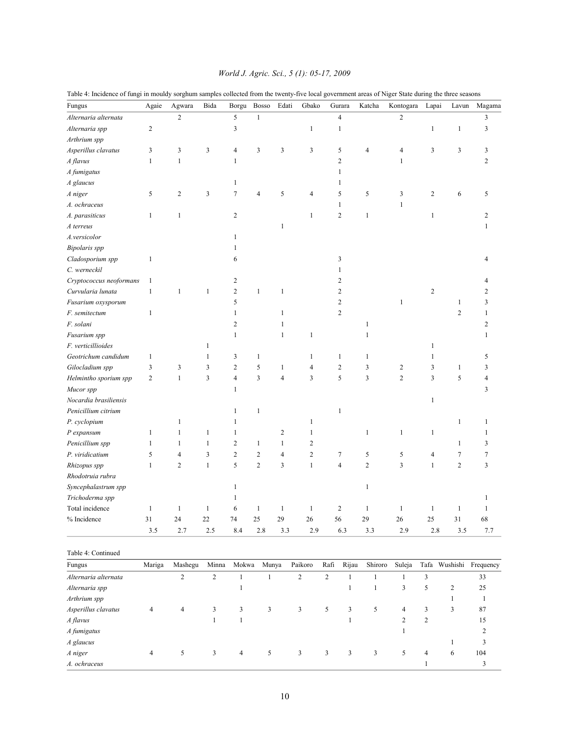| Fungus                  | Agaie          | Agwara         | Bida           | Borgu          | Bosso          | Edati          | Gbako          |             | $\rm{Gurara}$  | Katcha                  | Kontogara      | Lapai          | Lavun          | Magama                  |
|-------------------------|----------------|----------------|----------------|----------------|----------------|----------------|----------------|-------------|----------------|-------------------------|----------------|----------------|----------------|-------------------------|
| Alternaria alternata    |                | $\overline{c}$ |                | 5              | $\mathbf{1}$   |                |                |             | $\overline{4}$ |                         | $\overline{c}$ |                |                | 3                       |
| Alternaria spp          | $\overline{c}$ |                |                | 3              |                |                | $\mathbf{1}$   |             | $\mathbf{1}$   |                         |                | $\,1$          | $\mathbf{1}$   | 3                       |
| Arthrium spp            |                |                |                |                |                |                |                |             |                |                         |                |                |                |                         |
| Asperillus clavatus     | 3              | 3              | 3              | 4              | 3              | 3              | 3              |             | 5              | $\overline{4}$          | 4              | 3              | 3              | 3                       |
| A flavus                | $\mathbf{1}$   | $\mathbf{1}$   |                | $\mathbf{1}$   |                |                |                |             | $\overline{c}$ |                         | $\mathbf{1}$   |                |                | 2                       |
| A fumigatus             |                |                |                |                |                |                |                |             | 1              |                         |                |                |                |                         |
| A glaucus               |                |                |                | 1              |                |                |                |             | 1              |                         |                |                |                |                         |
| A niger                 | 5              | $\overline{c}$ | $\mathfrak{Z}$ | $\tau$         | $\overline{4}$ | 5              | $\overline{4}$ |             | 5              | 5                       | 3              | $\sqrt{2}$     | 6              | 5                       |
| A. ochraceus            |                |                |                |                |                |                |                |             | 1              |                         | 1              |                |                |                         |
|                         |                | $\mathbf{1}$   |                | $\overline{c}$ |                |                |                |             | $\overline{2}$ | $\mathbf{1}$            |                |                |                | 2                       |
| A. parasiticus          | $\mathbf{1}$   |                |                |                |                | $\mathbf{1}$   | 1              |             |                |                         |                | $\mathbf{1}$   |                |                         |
| A terreus               |                |                |                |                |                |                |                |             |                |                         |                |                |                | 1                       |
| A.versicolor            |                |                |                | 1              |                |                |                |             |                |                         |                |                |                |                         |
| <b>Bipolaris</b> spp    |                |                |                | 1              |                |                |                |             |                |                         |                |                |                |                         |
| Cladosporium spp        | $\mathbf{1}$   |                |                | 6              |                |                |                |             | 3              |                         |                |                |                | 4                       |
| C. werneckil            |                |                |                |                |                |                |                |             | 1              |                         |                |                |                |                         |
| Cryptococcus neoformans | $\mathbf{1}$   |                |                | 2              |                |                |                |             | $\overline{c}$ |                         |                |                |                |                         |
| Curvularia lunata       | $\mathbf{1}$   | 1              | $\mathbf{1}$   | $\overline{c}$ | $\mathbf{1}$   | $\mathbf{1}$   |                |             | $\overline{c}$ |                         |                | $\sqrt{2}$     |                | 2                       |
| Fusarium oxysporum      |                |                |                | 5              |                |                |                |             | $\overline{c}$ |                         | $\mathbf{1}$   |                | 1              | 3                       |
| F. semitectum           | $\mathbf{1}$   |                |                | $\mathbf{1}$   |                | 1              |                |             | $\overline{c}$ |                         |                |                | $\overline{c}$ | 1                       |
| F. solani               |                |                |                | 2              |                | 1              |                |             |                | 1                       |                |                |                | 2                       |
| Fusarium spp            |                |                |                | $\mathbf{1}$   |                | $\mathbf{1}$   | $\mathbf{1}$   |             |                | $\mathbf{1}$            |                |                |                | 1                       |
| F. verticillioides      |                |                | $\mathbf{1}$   |                |                |                |                |             |                |                         |                | $\mathbf{1}$   |                |                         |
| Geotrichum candidum     | $\mathbf{1}$   |                | 1              | 3              | $\mathbf{1}$   |                | 1              |             | $\mathbf{1}$   | $\mathbf{1}$            |                | 1              |                | 5                       |
| Gilocladium spp         | 3              | 3              | 3              | $\overline{c}$ | 5              | $\mathbf{1}$   | $\overline{4}$ |             | $\overline{c}$ | 3                       | $\overline{c}$ | 3              | 1              | 3                       |
| Helmintho sporium spp   | $\overline{c}$ | $\mathbf{1}$   | 3              | 4              | $\overline{3}$ | $\overline{4}$ | 3              |             | 5              | $\overline{\mathbf{3}}$ | $\overline{c}$ | 3              | 5              | 4                       |
| Mucor spp               |                |                |                | 1              |                |                |                |             |                |                         |                |                |                | 3                       |
| Nocardia brasiliensis   |                |                |                |                |                |                |                |             |                |                         |                | $\mathbf{1}$   |                |                         |
| Penicillium citrium     |                |                |                | 1              | $\mathbf{1}$   |                |                |             | 1              |                         |                |                |                |                         |
| P. cyclopium            |                | 1              |                | 1              |                |                | 1              |             |                |                         |                |                | 1              | 1                       |
| P expansum              | $\mathbf{1}$   | 1              | $\mathbf{1}$   | 1              |                | $\mathfrak{2}$ | 1              |             |                | $\mathbf{1}$            | $\mathbf{1}$   | 1              |                | 1                       |
| Penicillium spp         | $\mathbf{1}$   | 1              | $\mathbf{1}$   | $\mathbf{2}$   | $\mathbf{1}$   | $\mathbf{1}$   | $\sqrt{2}$     |             |                |                         |                |                | 1              | 3                       |
| P. viridicatium         | 5              | 4              | 3              | $\overline{c}$ | $\overline{2}$ | $\overline{4}$ | $\sqrt{2}$     |             | 7              | $\sqrt{5}$              | 5              | 4              | 7              | 7                       |
| Rhizopus spp            | $\mathbf{1}$   | 2              | $\mathbf{1}$   | 5              | $\overline{2}$ | 3              | $\mathbf{1}$   |             | $\overline{4}$ | $\overline{2}$          | 3              | $\mathbf{1}$   | $\overline{c}$ | 3                       |
| Rhodotruia rubra        |                |                |                |                |                |                |                |             |                |                         |                |                |                |                         |
| Syncephalastrum spp     |                |                |                | 1              |                |                |                |             |                | $\mathbf{1}$            |                |                |                |                         |
| Trichoderma spp         |                |                |                | 1              |                |                |                |             |                |                         |                |                |                | 1                       |
| Total incidence         | $\mathbf{1}$   | $\mathbf{1}$   | $\mathbf{1}$   | 6              | $\mathbf{1}$   | $\mathbf{1}$   | $\mathbf{1}$   |             | $\overline{c}$ | $\mathbf{1}$            | $\mathbf{1}$   | $\mathbf{1}$   | $\mathbf{1}$   | 1                       |
| % Incidence             | $31\,$         | $24\,$         | $22\,$         | $74\,$         | $25\,$         | 29             | 26             | 56          |                | 29                      | $26\,$         | 25             | $31\,$         | 68                      |
|                         | 3.5            | 2.7            | 2.5            | 8.4            | 2.8            | 3.3            | 2.9            |             | 6.3            | 3.3                     | 2.9            | 2.8            | 3.5            | 7.7                     |
|                         |                |                |                |                |                |                |                |             |                |                         |                |                |                |                         |
| Table 4: Continued      |                |                |                |                |                |                |                |             |                |                         |                |                |                |                         |
| Fungus                  | Mariga         | Mashegu        | Minna          | Mokwa          | Munya          |                | Paikoro        | Rafi        | Rijau          | Shiroro                 | Suleja         |                |                | Tafa Wushishi Frequency |
| Alternaria alternata    |                | $\overline{c}$ | $\sqrt{2}$     | $\mathbf{1}$   | $\mathbf{1}$   |                | $\sqrt{2}$     | $\mathbf 2$ | $\mathbf{1}$   | $\,1$                   | $\mathbf{1}$   | 3              |                | 33                      |
| Alternaria spp          |                |                |                | 1              |                |                |                |             | $\mathbf{1}$   | $\mathbf{1}$            | 3              | 5              | $\overline{c}$ | 25                      |
| Arthrium spp            |                |                |                |                |                |                |                |             |                |                         |                |                | $\mathbf{1}$   | $\mathbf{1}$            |
| Asperillus clavatus     | 4              | $\overline{4}$ | 3              | 3              | $\mathfrak{Z}$ |                | 3              | $\sqrt{5}$  | 3              | 5                       | $\overline{4}$ | 3              | 3              | 87                      |
| A flavus                |                |                | $\mathbf{1}$   | $\mathbf{1}$   |                |                |                |             | $\mathbf{1}$   |                         | $\sqrt{2}$     | $\overline{c}$ |                | 15                      |
| A fumigatus             |                |                |                |                |                |                |                |             |                |                         | $\mathbf{1}$   |                |                | $\overline{c}$          |
| A glaucus               |                |                |                |                |                |                |                |             |                |                         |                |                | $\mathbf{1}$   | $\mathfrak{Z}$          |

Table 4: Incidence of fungi in mouldy sorghum samples collected from the twenty-five local government areas of Niger State during the three seasons

*A niger* 4 5 3 4 5 3 3 3 3 5 4 6 104 *A. ochraceus* 1 3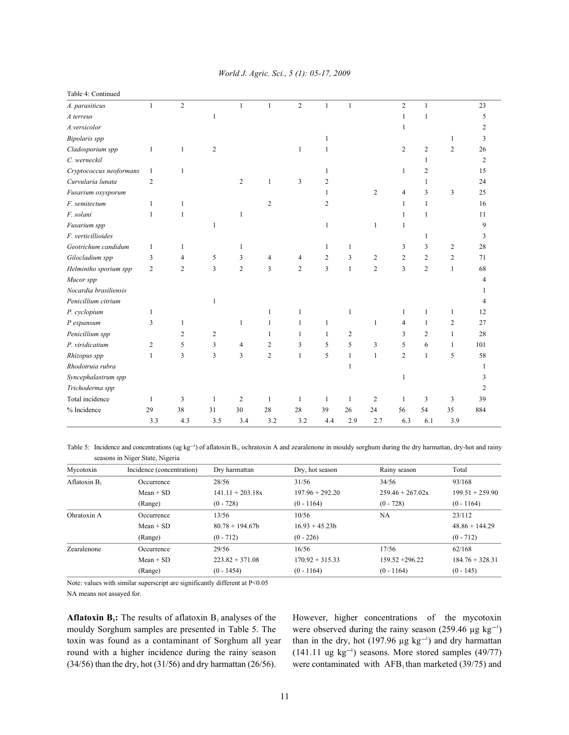| Table 4: Continued      |                |                |                |                |                |                |                |              |                |                |                |                |                |
|-------------------------|----------------|----------------|----------------|----------------|----------------|----------------|----------------|--------------|----------------|----------------|----------------|----------------|----------------|
| A. parasiticus          | $\mathbf{1}$   | $\overline{c}$ |                | $\mathbf{1}$   | $\mathbf{1}$   | $\overline{2}$ | $\mathbf{1}$   | $\mathbf{1}$ |                | $\overline{2}$ | $\mathbf{1}$   |                | 23             |
| A terreus               |                |                | 1              |                |                |                |                |              |                | $\mathbf{1}$   | $\mathbf{1}$   |                | 5              |
| A.versicolor            |                |                |                |                |                |                |                |              |                | 1              |                |                | $\overline{c}$ |
| <b>Bipolaris</b> spp    |                |                |                |                |                |                |                |              |                |                |                | $\mathbf{1}$   | 3              |
| Cladosporium spp        | $\mathbf{1}$   | 1              | 2              |                |                | 1              |                |              |                | 2              | $\mathbf{2}$   | $\overline{c}$ | 26             |
| C. werneckil            |                |                |                |                |                |                |                |              |                |                | $\mathbf{1}$   |                | $\overline{c}$ |
| Cryptococcus neoformans | $\mathbf{1}$   | 1              |                |                |                |                | 1              |              |                | $\mathbf{1}$   | $\mathbf{2}$   |                | 15             |
| Curvularia lunata       | $\overline{2}$ |                |                | $\overline{2}$ | 1              | 3              | 2              |              |                |                | 1              |                | 24             |
| Fusarium oxysporum      |                |                |                |                |                |                | $\mathbf{1}$   |              | 2              | $\overline{4}$ | 3              | $\overline{3}$ | 25             |
| F. semitectum           | $\mathbf{1}$   | 1              |                |                | $\overline{c}$ |                | $\overline{c}$ |              |                | $\mathbf{1}$   | $\mathbf{1}$   |                | 16             |
| F. solani               | $\mathbf{1}$   | 1              |                | $\mathbf{1}$   |                |                |                |              |                | $\mathbf{1}$   | $\mathbf{1}$   |                | 11             |
| Fusarium spp            |                |                | 1              |                |                |                | $\mathbf{1}$   |              | $\mathbf{1}$   | $\mathbf{1}$   |                |                | 9              |
| F. verticillioides      |                |                |                |                |                |                |                |              |                |                | 1              |                | 3              |
| Geotrichum candidum     | 1              | 1              |                | 1              |                |                | $\mathbf{1}$   | 1            |                | 3              | 3              | $\overline{2}$ | 28             |
| Gilocladium spp         | 3              | 4              | 5              | 3              | 4              | 4              | 2              | 3            | 2              | $\overline{c}$ | $\mathfrak{2}$ | $\overline{2}$ | 71             |
| Helmintho sporium spp   | $\overline{2}$ | $\overline{c}$ | 3              | $\overline{2}$ | $\overline{3}$ | $\overline{2}$ | $\overline{3}$ | $\mathbf{1}$ | $\overline{c}$ | $\overline{3}$ | $\overline{c}$ | $\mathbf{1}$   | 68             |
| Mucor spp               |                |                |                |                |                |                |                |              |                |                |                |                | 4              |
| Nocardia brasiliensis   |                |                |                |                |                |                |                |              |                |                |                |                |                |
| Penicillium citrium     |                |                | 1              |                |                |                |                |              |                |                |                |                | 4              |
| P. cyclopium            | 1              |                |                |                | 1              | 1              |                | 1            |                | 1              |                | 1              | 12             |
| P expansum              | 3              | 1              |                | 1              | 1              | 1              | $\mathbf{1}$   |              | $\mathbf{1}$   | 4              | 1              | $\overline{2}$ | 27             |
| Penicillium spp         |                | $\overline{c}$ | $\overline{c}$ |                | 1              | 1              | 1              | 2            |                | 3              | $\overline{2}$ | $\mathbf{1}$   | 28             |
| P. viridicatium         | $\overline{2}$ | 5              | 3              | 4              | 2              | 3              | 5              | 5            | 3              | 5              | 6              | 1              | 101            |
| Rhizopus spp            | $\mathbf{1}$   | 3              | 3              | 3              | $\overline{c}$ | $\mathbf{1}$   | 5              | 1            | $\mathbf{1}$   | $\overline{c}$ | $\mathbf{1}$   | 5              | 58             |
| Rhodotruia rubra        |                |                |                |                |                |                |                | 1            |                |                |                |                | 1              |
| Syncephalastrum spp     |                |                |                |                |                |                |                |              |                | $\mathbf{1}$   |                |                | 3              |
| Trichoderma spp         |                |                |                |                |                |                |                |              |                |                |                |                | $\overline{c}$ |
| Total incidence         | $\mathbf{1}$   | 3              | 1              | $\overline{c}$ | 1              | $\mathbf{1}$   | 1              | 1            | $\overline{2}$ | 1              | 3              | 3              | 39             |
| % Incidence             | 29             | 38             | 31             | 30             | 28             | 28             | 39             | 26           | 24             | 56             | 54             | 35             | 884            |
|                         | 3.3            | 4.3            | 3.5            | 3.4            | 3.2            | 3.2            | 4.4            | 2.9          | 2.7            | 6.3            | 6.1            | 3.9            |                |

### *World J. Agric. Sci., 5 (1): 05-17, 2009*

Table 5: Incidence and concentrations (ug kg<sup>-1</sup>) of aflatoxin B<sub>1</sub>, ochratoxin A and zearalenone in mouldy sorghum during the dry harmattan, dry-hot and rainy seasons in Niger State, Nigeria

| Mycotoxin       | Incidence (concentration) | Dry harmattan      | Dry, hot season   | Rainy season       | Total             |
|-----------------|---------------------------|--------------------|-------------------|--------------------|-------------------|
| Aflatoxin $B_1$ | Occurrence                | 28/56              | 31/56             | 34/56              | 93/168            |
|                 | $Mean + SD$               | $141.11 + 203.18x$ | $197.96 + 292.20$ | $259.46 + 267.02x$ | $199.51 + 259.90$ |
|                 | (Range)                   | $(0 - 728)$        | $(0 - 1164)$      | $(0 - 728)$        | $(0 - 1164)$      |
| Ohratoxin A     | Occurrence                | 13/56              | 10/56             | NA                 | 23/112            |
|                 | $Mean + SD$               | $80.78 + 194.67$   | $16.93 + 45.23h$  |                    | $48.86 + 144.29$  |
|                 | (Range)                   | $(0 - 712)$        | $(0 - 226)$       |                    | $(0 - 712)$       |
| Zearalenone     | Occurrence                | 29/56              | 16/56             | 17/56              | 62/168            |
|                 | $Mean + SD$               | $223.82 + 371.08$  | $170.92 + 315.33$ | $159.52 + 296.22$  | $184.76 + 328.31$ |
|                 | (Range)                   | $(0 - 1454)$       | $(0 - 1164)$      | $(0 - 1164)$       | $(0 - 145)$       |

Note: values with similar superscript are significantly different at P<0.05 NA means not assayed for.

**Aflatoxin B<sub>i</sub>:** The results of aflatoxin  $B_1$  analyses of the However, higher concentrations of the mycotoxin mouldy Sorghum samples are presented in Table 5. The were observed during the rainy season (259.46  $\mu$ g kg<sup>-1</sup>) toxin was found as a contaminant of Sorghum all year than in the dry, hot (197.96  $\mu$ g kg<sup>-1</sup>) and dry harmattan round with a higher incidence during the rainy season  $(141.11 \text{ ug kg}^{-1})$  seasons. More stored samples (49/77)

 $(34/56)$  than the dry, hot (31/56) and dry harmattan (26/56). were contaminated with AFB<sub>1</sub> than marketed (39/75) and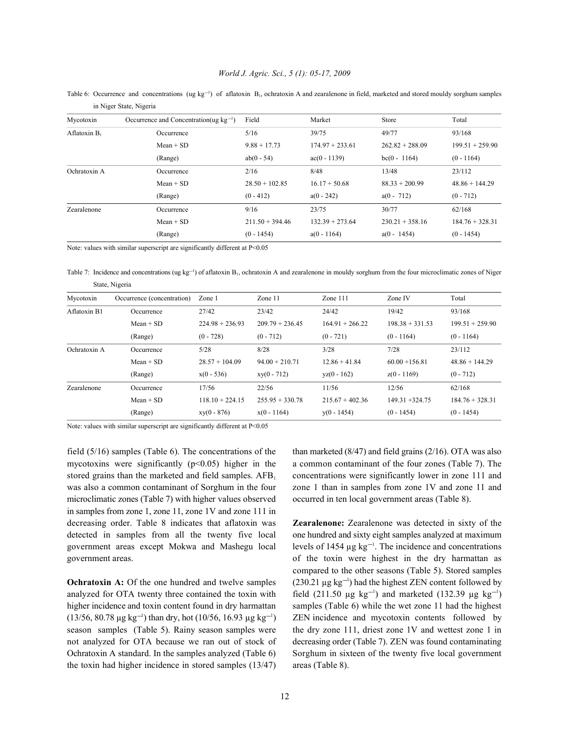Table 6: Occurrence and concentrations (ug kg<sup>-1</sup>) of aflatoxin B<sub>1</sub>, ochratoxin A and zearalenone in field, marketed and stored mouldy sorghum samples in Niger State, Nigeria

| Mycotoxin       | Occurrence and Concentration(ug $kg^{-1}$ ) | Field             | Market            | Store             | Total             |
|-----------------|---------------------------------------------|-------------------|-------------------|-------------------|-------------------|
| Aflatoxin $B_1$ | Occurrence                                  | 5/16              | 39/75             | 49/77             | 93/168            |
|                 | $Mean + SD$                                 | $9.88 + 17.73$    | $174.97 + 233.61$ | $262.82 + 288.09$ | $199.51 + 259.90$ |
|                 | (Range)                                     | $ab(0 - 54)$      | $ac(0 - 1139)$    | $bc(0 - 1164)$    | $(0 - 1164)$      |
| Ochratoxin A    | Occurrence                                  | 2/16              | 8/48              | 13/48             | 23/112            |
|                 | $Mean + SD$                                 | $28.50 + 102.85$  | $16.17 + 50.68$   | $88.33 + 200.99$  | $48.86 + 144.29$  |
|                 | (Range)                                     | $(0 - 412)$       | $a(0 - 242)$      | $a(0 - 712)$      | $(0 - 712)$       |
| Zearalenone     | Occurrence                                  | 9/16              | 23/75             | 30/77             | 62/168            |
|                 | $Mean + SD$                                 | $211.50 + 394.46$ | $132.39 + 273.64$ | $230.21 + 358.16$ | $184.76 + 328.31$ |
|                 | (Range)                                     | $(0 - 1454)$      | $a(0 - 1164)$     | $a(0 - 1454)$     | $(0 - 1454)$      |

Note: values with similar superscript are significantly different at P<0.05

Table 7: Incidence and concentrations (ug kg<sup>-1</sup>) of aflatoxin B<sub>1</sub>, ochratoxin A and zearalenone in mouldy sorghum from the four microclimatic zones of Niger State, Nigeria

| Mycotoxin    | Occurrence (concentration) | $\mathsf{Zone}\,1$ | Zone $11$         | Zone $111$        | Zone IV           | Total             |
|--------------|----------------------------|--------------------|-------------------|-------------------|-------------------|-------------------|
| Aflatoxin B1 | Occurrence                 | 27/42              | 23/42             | 24/42             | 19/42             | 93/168            |
|              | $Mean + SD$                | $224.98 + 236.93$  | $209.79 + 236.45$ | $164.91 + 266.22$ | $198.38 + 331.53$ | $199.51 + 259.90$ |
|              | (Range)                    | $(0 - 728)$        | $(0 - 712)$       | $(0 - 721)$       | $(0 - 1164)$      | $(0 - 1164)$      |
| Ochratoxin A | Occurrence                 | 5/28               | 8/28              | 3/28              | 7/28              | 23/112            |
|              | $Mean + SD$                | $28.57 + 104.09$   | $94.00 + 210.71$  | $12.86 + 41.84$   | $60.00 + 156.81$  | $48.86 + 144.29$  |
|              | (Range)                    | $x(0 - 536)$       | $xy(0 - 712)$     | $yz(0 - 162)$     | $z(0 - 1169)$     | $(0 - 712)$       |
| Zearalenone  | Occurrence                 | 17/56              | 22/56             | 11/56             | 12/56             | 62/168            |
|              | $Mean + SD$                | $118.10 + 224.15$  | $255.95 + 330.78$ | $215.67 + 402.36$ | $149.31 + 324.75$ | $184.76 + 328.31$ |
|              | (Range)                    | $xy(0 - 876)$      | $x(0 - 1164)$     | $y(0 - 1454)$     | $(0 - 1454)$      | $(0 - 1454)$      |

Note: values with similar superscript are significantly different at P<0.05

microclimatic zones (Table 7) with higher values observed occurred in ten local government areas (Table 8). in samples from zone 1, zone 11, zone 1V and zone 111 in decreasing order. Table 8 indicates that aflatoxin was **Zearalenone:** Zearalenone was detected in sixty of the government areas except Mokwa and Mashegu local levels of  $1454 \mu g kg^{-1}$ . The incidence and concentrations

analyzed for OTA twenty three contained the toxin with field (211.50 µg kg<sup>-1</sup>) and marketed (132.39 µg kg<sup>-1</sup>) the toxin had higher incidence in stored samples (13/47) areas (Table 8).

field (5/16) samples (Table 6). The concentrations of the than marketed (8/47) and field grains (2/16). OTA was also mycotoxins were significantly  $(p<0.05)$  higher in the a common contaminant of the four zones (Table 7). The stored grains than the marketed and field samples.  $AFB<sub>1</sub>$  concentrations were significantly lower in zone 111 and was also a common contaminant of Sorghum in the four zone 1 than in samples from zone 1V and zone 11 and

detected in samples from all the twenty five local one hundred and sixty eight samples analyzed at maximum government areas.  $\qquad \qquad$  of the toxin were highest in the dry harmattan as **Ochratoxin A:** Of the one hundred and twelve samples  $(230.21 \,\mu g \,\text{kg}^{-1})$  had the highest ZEN content followed by higher incidence and toxin content found in dry harmattan samples (Table 6) while the wet zone 11 had the highest (13/56, 80.78  $\mu$ g kg<sup>-1</sup>) than dry, hot (10/56, 16.93  $\mu$ g kg<sup>-1</sup>) ZEN incidence and mycotoxin contents followed by season samples (Table 5). Rainy season samples were the dry zone 111, driest zone 1V and wettest zone 1 in not analyzed for OTA because we ran out of stock of decreasing order (Table 7). ZEN was found contaminating Ochratoxin A standard. In the samples analyzed (Table 6) Sorghum in sixteen of the twenty five local government compared to the other seasons (Table 5). Stored samples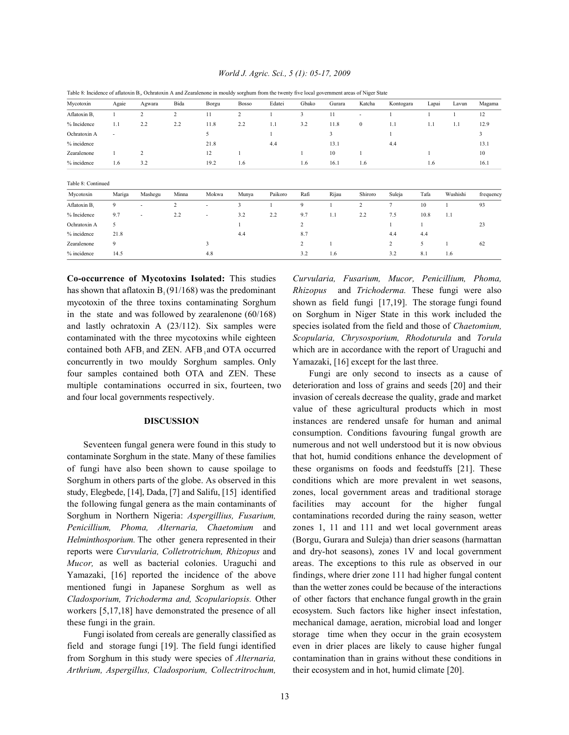*World J. Agric. Sci., 5 (1): 05-17, 2009*

| Mycotoxin          | Agaie                    | Agwara                   | Bida           | Borgu                    | <b>Bosso</b>   | Edatei  | Gbako          | Gurara | Katcha                   | Kontogara      | Lapai | Lavun    | Magama         |
|--------------------|--------------------------|--------------------------|----------------|--------------------------|----------------|---------|----------------|--------|--------------------------|----------------|-------|----------|----------------|
| Aflatoxin B        | $\mathbf{1}$             | 2                        | $\overline{c}$ | 11                       | $\overline{2}$ |         | 3              | 11     | $\overline{\phantom{a}}$ |                |       |          | 12             |
| % Incidence        | 1.1                      | 2.2                      | 2.2            | 11.8                     | 2.2            | 1.1     | 3.2            | 11.8   | $\bf{0}$                 | 1.1            | 1.1   | 1.1      | 12.9           |
| Ochratoxin A       | $\overline{\phantom{a}}$ |                          |                | 5                        |                |         |                | 3      |                          |                |       |          | $\overline{3}$ |
| % incidence        |                          |                          |                | 21.8                     |                | 4.4     |                | 13.1   |                          | 4.4            |       |          | 13.1           |
| Zearalenone        | 1                        | $\overline{c}$           |                | 12                       |                |         |                | 10     |                          |                |       |          | 10             |
| % incidence        | 1.6                      | 3.2                      |                | 19.2                     | 1.6            |         | 1.6            | 16.1   | 1.6                      |                | 1.6   |          | 16.1           |
| Table 8: Continued |                          |                          |                |                          |                |         |                |        |                          |                |       |          |                |
| Mycotoxin          | Mariga                   | Mashegu                  | Minna          | Mokwa                    | Munya          | Paikoro | Rafi           | Rijau  | Shiroro                  | Suleja         | Tafa  | Wushishi | frequency      |
| Aflatoxin B        | 9                        | $\overline{a}$           | 2              | $\overline{a}$           | 3              |         | 9              |        | 2                        | 7              | 10    |          | 93             |
| % Incidence        | 9.7                      | $\overline{\phantom{a}}$ | 2.2            | $\overline{\phantom{a}}$ | 3.2            | 2.2     | 9.7            | 1.1    | 2.2                      | 7.5            | 10.8  | 1.1      |                |
| Ochratoxin A       | 5                        |                          |                |                          |                |         | $\overline{c}$ |        |                          |                |       |          | 23             |
| % incidence        | 21.8                     |                          |                |                          | 4.4            |         | 8.7            |        |                          | 4.4            | 4.4   |          |                |
| Zearalenone        | 9                        |                          |                | 3                        |                |         | $\overline{c}$ |        |                          | $\overline{c}$ | 5     |          | 62             |
| % incidence        | 14.5                     |                          |                | 4.8                      |                |         | 3.2            | 1.6    |                          | 3.2            | 8.1   | 1.6      |                |

Table 8: Incidence of aflatoxin B<sub>1</sub>, Ochratoxin A and Zearalenone in mouldy sorghum from the twenty five local government areas of Niger State

**Co-occurrence of Mycotoxins Isolated:** This studies *Curvularia, Fusarium, Mucor, Penicillium, Phoma,* has shown that aflatoxin B<sub>1</sub>(91/168) was the predominant Rhizopus and *Trichoderma*. These fungi were also mycotoxin of the three toxins contaminating Sorghum shown as field fungi [17,19]. The storage fungi found in the state and was followed by zearalenone (60/168) on Sorghum in Niger State in this work included the and lastly ochratoxin A (23/112). Six samples were species isolated from the field and those of *Chaetomium,* contaminated with the three mycotoxins while eighteen *Scopularia, Chrysosporium, Rhodoturula* and *Torula* contained both AFB and ZEN. AFB and OTA occurred which are in accordance with the report of Uraguchi and concurrently in two mouldy Sorghum samples. Only Yamazaki, [16] except for the last three. four samples contained both OTA and ZEN. These Fungi are only second to insects as a cause of multiple contaminations occurred in six, fourteen, two deterioration and loss of grains and seeds [20] and their and four local governments respectively. invasion of cereals decrease the quality, grade and market

contaminate Sorghum in the state. Many of these families that hot, humid conditions enhance the development of of fungi have also been shown to cause spoilage to these organisms on foods and feedstuffs [21]. These Sorghum in others parts of the globe. As observed in this conditions which are more prevalent in wet seasons, study, Elegbede, [14], Dada, [7] and Salifu, [15] identified zones, local government areas and traditional storage the following fungal genera as the main contaminants of facilities may account for the higher fungal Sorghum in Northern Nigeria: *Aspergillius, Fusarium,* contaminations recorded during the rainy season, wetter *Penicillium, Phoma, Alternaria, Chaetomium* and zones 1, 11 and 111 and wet local government areas *Helminthosporium.* The other genera represented in their (Borgu, Gurara and Suleja) than drier seasons (harmattan reports were *Curvularia, Colletrotrichum, Rhizopus* and and dry-hot seasons), zones 1V and local government *Mucor*, as well as bacterial colonies. Uraguchi and areas. The exceptions to this rule as observed in our Yamazaki, [16] reported the incidence of the above findings, where drier zone 111 had higher fungal content mentioned fungi in Japanese Sorghum as well as than the wetter zones could be because of the interactions *Cladosporium, Trichoderma and, Scopulariopsis.* Other of other factors that enchance fungal growth in the grain workers [5,17,18] have demonstrated the presence of all ecosystem. Such factors like higher insect infestation, these fungi in the grain. mechanical damage, aeration, microbial load and longer

field and storage fungi [19]. The field fungi identified even in drier places are likely to cause higher fungal from Sorghum in this study were species of *Alternaria,* contamination than in grains without these conditions in *Arthrium, Aspergillus, Cladosporium, Collectritrochum,* their ecosystem and in hot, humid climate [20].

**DISCUSSION** instances are rendered unsafe for human and animal Seventeen fungal genera were found in this study to numerous and not well understood but it is now obvious Fungi isolated from cereals are generally classified as storage time when they occur in the grain ecosystem value of these agricultural products which in most consumption. Conditions favouring fungal growth are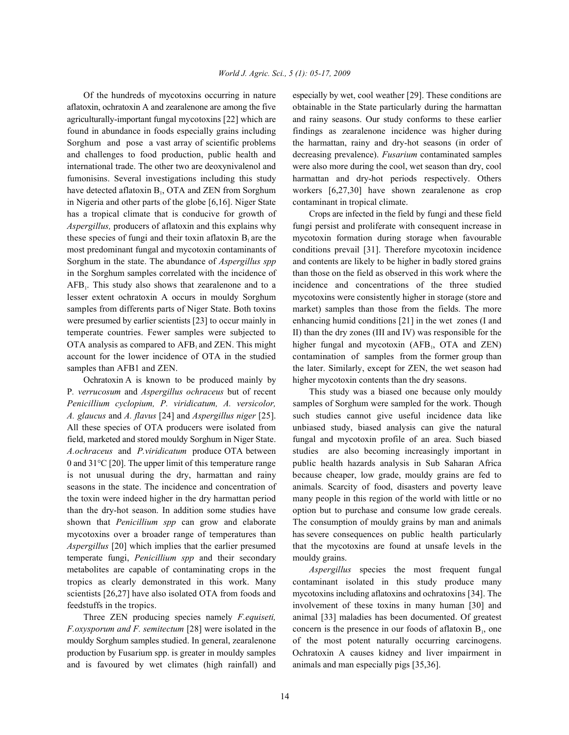aflatoxin, ochratoxin A and zearalenone are among the five obtainable in the State particularly during the harmattan agriculturally-important fungal mycotoxins [22] which are and rainy seasons. Our study conforms to these earlier found in abundance in foods especially grains including findings as zearalenone incidence was higher during Sorghum and pose a vast array of scientific problems the harmattan, rainy and dry-hot seasons (in order of and challenges to food production, public health and decreasing prevalence). *Fusarium* contaminated samples international trade. The other two are deoxynivalenol and were also more during the cool, wet season than dry, cool fumonisins. Several investigations including this study harmattan and dry-hot periods respectively. Others have detected aflatoxin  $B_1$ , OTA and ZEN from Sorghum workers [6,27,30] have shown zearalenone as crop in Nigeria and other parts of the globe [6,16]. Niger State contaminant in tropical climate. has a tropical climate that is conducive for growth of Crops are infected in the field by fungi and these field *Aspergillus,* producers of aflatoxin and this explains why fungi persist and proliferate with consequent increase in these species of fungi and their toxin aflatoxin  $B_1$  are the mycotoxin formation during storage when favourable most predominant fungal and mycotoxin contaminants of conditions prevail [31]. Therefore mycotoxin incidence Sorghum in the state. The abundance of *Aspergillus spp* and contents are likely to be higher in badly stored grains in the Sorghum samples correlated with the incidence of than those on the field as observed in this work where the AFB<sub>1</sub>. This study also shows that zearalenone and to a incidence and concentrations of the three studied lesser extent ochratoxin A occurs in mouldy Sorghum mycotoxins were consistently higher in storage (store and samples from differents parts of Niger State. Both toxins market) samples than those from the fields. The more were presumed by earlier scientists [23] to occur mainly in enhancing humid conditions [21] in the wet zones (I and temperate countries. Fewer samples were subjected to II) than the dry zones (III and IV) was responsible for the OTA analysis as compared to  $AFB_1$  and  $ZEN$ . This might higher fungal and mycotoxin ( $AFB_1$ , OTA and  $ZEN$ ) account for the lower incidence of OTA in the studied contamination of samples from the former group than samples than AFB1 and ZEN. the later. Similarly, except for ZEN, the wet season had

Ochratoxin A is known to be produced mainly by higher mycotoxin contents than the dry seasons. P*. verrucosum* and *Aspergillus ochraceus* but of recent This study was a biased one because only mouldy *Penicillium cyclopium, P. viridicatum, A. versicolor,* samples of Sorghum were sampled for the work. Though *A. glaucus* and *A. flavus* [24] and *Aspergillus niger* [25]. such studies cannot give useful incidence data like All these species of OTA producers were isolated from unbiased study, biased analysis can give the natural field, marketed and stored mouldy Sorghum in Niger State. fungal and mycotoxin profile of an area. Such biased *A.ochraceus* and *P.viridicatum* produce OTA between studies are also becoming increasingly important in 0 and 31°C [20]. The upper limit of this temperature range public health hazards analysis in Sub Saharan Africa is not unusual during the dry, harmattan and rainy because cheaper, low grade, mouldy grains are fed to seasons in the state. The incidence and concentration of animals. Scarcity of food, disasters and poverty leave the toxin were indeed higher in the dry harmattan period many people in this region of the world with little or no than the dry-hot season. In addition some studies have option but to purchase and consume low grade cereals. shown that *Penicillium spp* can grow and elaborate The consumption of mouldy grains by man and animals mycotoxins over a broader range of temperatures than has severe consequences on public health particularly *Aspergillus* [20] which implies that the earlier presumed that the mycotoxins are found at unsafe levels in the temperate fungi, *Penicillium spp* and their secondary mouldy grains. metabolites are capable of contaminating crops in the *Aspergillus* species the most frequent fungal tropics as clearly demonstrated in this work. Many contaminant isolated in this study produce many scientists [26,27] have also isolated OTA from foods and mycotoxins including aflatoxins and ochratoxins [34]. The feedstuffs in the tropics. involvement of these toxins in many human [30] and

*F.oxysporum and F. semitectum* [28] were isolated in the concern is the presence in our foods of aflatoxin B<sub>1</sub>, one mouldy Sorghum samples studied. In general, zearalenone of the most potent naturally occurring carcinogens. production by Fusarium spp. is greater in mouldy samples Ochratoxin A causes kidney and liver impairment in and is favoured by wet climates (high rainfall) and animals and man especially pigs [35,36].

Of the hundreds of mycotoxins occurring in nature especially by wet, cool weather [29]. These conditions are

Three ZEN producing species namely *F.equiseti,* animal [33] maladies has been documented. Of greatest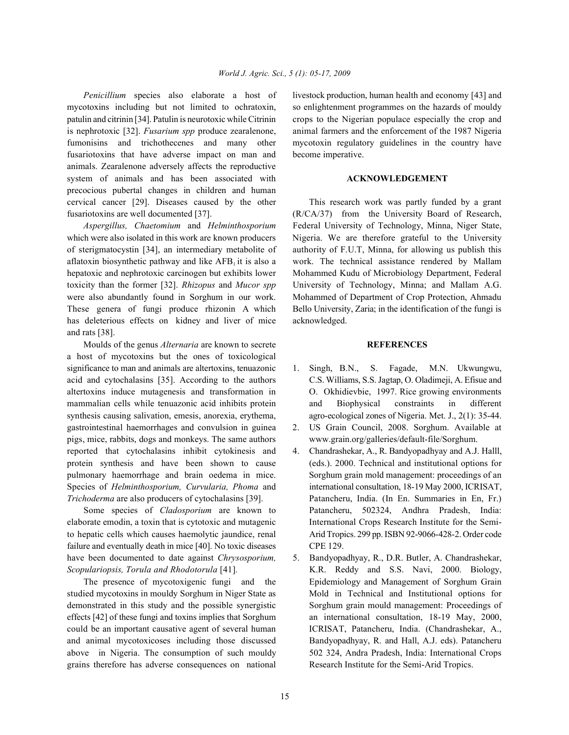mycotoxins including but not limited to ochratoxin, so enlightenment programmes on the hazards of mouldy patulin and citrinin [34]. Patulin is neurotoxic while Citrinin crops to the Nigerian populace especially the crop and is nephrotoxic [32]. *Fusarium spp* produce zearalenone, animal farmers and the enforcement of the 1987 Nigeria fumonisins and trichothecenes and many other mycotoxin regulatory guidelines in the country have fusariotoxins that have adverse impact on man and become imperative. animals. Zearalenone adversely affects the reproductive system of animals and has been associated with **ACKNOWLEDGEMENT** precocious pubertal changes in children and human cervical cancer [29]. Diseases caused by the other This research work was partly funded by a grant fusariotoxins are well documented [37]. (R/CA/37) from the University Board of Research,

which were also isolated in this work are known producers Nigeria. We are therefore grateful to the University of sterigmatocystin [34], an intermediary metabolite of authority of F.U.T, Minna, for allowing us publish this aflatoxin biosynthetic pathway and like  $AFB<sub>1</sub>$  it is also a work. The technical assistance rendered by Mallam hepatoxic and nephrotoxic carcinogen but exhibits lower Mohammed Kudu of Microbiology Department, Federal toxicity than the former [32]. *Rhizopus* and *Mucor spp* University of Technology, Minna; and Mallam A.G. were also abundantly found in Sorghum in our work. Mohammed of Department of Crop Protection, Ahmadu These genera of fungi produce rhizonin A which Bello University, Zaria; in the identification of the fungi is has deleterious effects on kidney and liver of mice acknowledged. and rats [38].

Moulds of the genus *Alternaria* are known to secrete **REFERENCES** a host of mycotoxins but the ones of toxicological significance to man and animals are altertoxins, tenuazonic 1. Singh, B.N., S. Fagade, M.N. Ukwungwu, acid and cytochalasins [35]. According to the authors C.S. Williams, S.S. Jagtap, O. Oladimeji, A. Efisue and altertoxins induce mutagenesis and transformation in O. Okhidievbie, 1997. Rice growing environments mammalian cells while tenuazonic acid inhibits protein and Biophysical constraints in different synthesis causing salivation, emesis, anorexia, erythema, agro-ecological zones of Nigeria. Met. J., 2(1): 35-44. gastrointestinal haemorrhages and convulsion in guinea 2. US Grain Council, 2008. Sorghum. Available at pigs, mice, rabbits, dogs and monkeys. The same authors www.grain.org/galleries/default-file/Sorghum. reported that cytochalasins inhibit cytokinesis and 4. Chandrashekar, A., R. Bandyopadhyay and A.J. Halll, protein synthesis and have been shown to cause (eds.). 2000. Technical and institutional options for pulmonary haemorrhage and brain oedema in mice. Sorghum grain mold management: proceedings of an Species of *Helminthosporium, Curvularia, Phoma* and international consultation, 18-19 May 2000, ICRISAT, *Trichoderma* are also producers of cytochalasins [39]. Patancheru, India. (In En. Summaries in En, Fr.)

elaborate emodin, a toxin that is cytotoxic and mutagenic International Crops Research Institute for the Semito hepatic cells which causes haemolytic jaundice, renal Arid Tropics. 299 pp. ISBN 92-9066-428-2. Order code failure and eventually death in mice [40]. No toxic diseases CPE 129. have been documented to date against *Chrysosporium,* 5. Bandyopadhyay, R., D.R. Butler, A. Chandrashekar, *Scopulariopsis, Torula and Rhodotorula* [41]*.* K.R. Reddy and S.S. Navi, 2000. Biology,

studied mycotoxins in mouldy Sorghum in Niger State as Mold in Technical and Institutional options for demonstrated in this study and the possible synergistic Sorghum grain mould management: Proceedings of effects [42] of these fungi and toxins implies that Sorghum an international consultation, 18-19 May, 2000, could be an important causative agent of several human ICRISAT, Patancheru, India. (Chandrashekar, A., and animal mycotoxicoses including those discussed Bandyopadhyay, R. and Hall, A.J. eds). Patancheru above in Nigeria. The consumption of such mouldy 502 324, Andra Pradesh, India: International Crops grains therefore has adverse consequences on national Research Institute for the Semi-Arid Tropics.

*Penicillium* species also elaborate a host of livestock production, human health and economy [43] and

*Aspergillus, Chaetomium* and *Helminthosporium* Federal University of Technology, Minna, Niger State,

- 
- 
- Some species of *Cladosporium* are known to Patancheru, 502324, Andhra Pradesh, India:
- The presence of mycotoxigenic fungi and the Epidemiology and Management of Sorghum Grain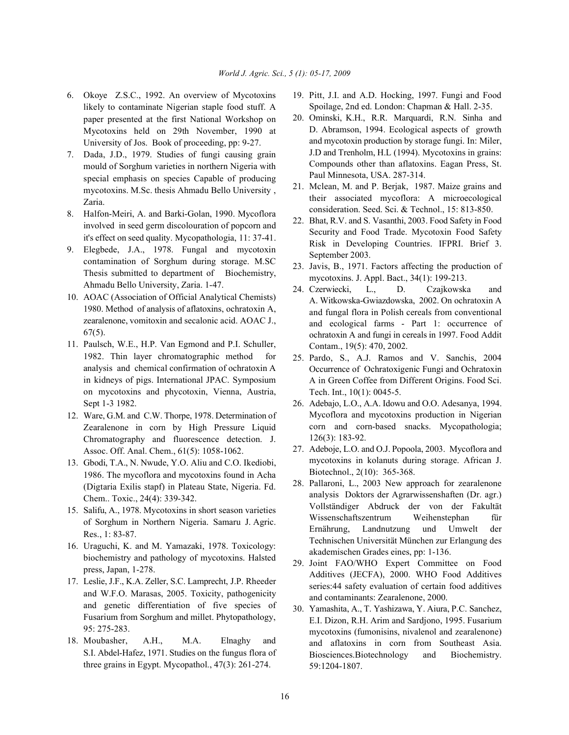- likely to contaminate Nigerian staple food stuff. A paper presented at the first National Workshop on Mycotoxins held on 29th November, 1990 at University of Jos. Book of proceeding, pp: 9-27.
- 7. Dada, J.D., 1979. Studies of fungi causing grain mould of Sorghum varieties in northern Nigeria with special emphasis on species Capable of producing mycotoxins. M.Sc. thesis Ahmadu Bello University , Zaria.
- 8. Halfon-Meiri, A. and Barki-Golan, 1990. Mycoflora involved in seed germ discolouration of popcorn and it's effect on seed quality. Mycopathologia, 11: 37-41.
- 9. Elegbede, J.A., 1978. Fungal and mycotoxin contamination of Sorghum during storage. M.SC Thesis submitted to department of Biochemistry, Ahmadu Bello University, Zaria. 1-47.
- 10. AOAC (Association of Official Analytical Chemists) 1980. Method of analysis of aflatoxins, ochratoxin A, zearalenone, vomitoxin and secalonic acid. AOAC J., 67(5).
- 11. Paulsch, W.E., H.P. Van Egmond and P.I. Schuller, 1982. Thin layer chromatographic method for analysis and chemical confirmation of ochratoxin A in kidneys of pigs. International JPAC. Symposium on mycotoxins and phycotoxin, Vienna, Austria, Sept 1-3 1982.
- 12. Ware, G.M. and C.W. Thorpe, 1978. Determination of Zearalenone in corn by High Pressure Liquid Chromatography and fluorescence detection. J. Assoc. Off. Anal. Chem., 61(5): 1058-1062.
- 13. Gbodi, T.A., N. Nwude, Y.O. Aliu and C.O. Ikediobi, 1986. The mycoflora and mycotoxins found in Acha (Digtaria Exilis stapf) in Plateau State, Nigeria. Fd. Chem.. Toxic., 24(4): 339-342.
- 15. Salifu, A., 1978. Mycotoxins in short season varieties of Sorghum in Northern Nigeria. Samaru J. Agric. Res., 1: 83-87.
- 16. Uraguchi, K. and M. Yamazaki, 1978. Toxicology: biochemistry and pathology of mycotoxins. Halsted press, Japan, 1-278.
- 17. Leslie, J.F., K.A. Zeller, S.C. Lamprecht, J.P. Rheeder and W.F.O. Marasas, 2005. Toxicity, pathogenicity and genetic differentiation of five species of Fusarium from Sorghum and millet. Phytopathology, 95: 275-283.
- 18. Moubasher, A.H., M.A. Elnaghy and S.I. Abdel-Hafez, 1971. Studies on the fungus flora of three grains in Egypt. Mycopathol., 47(3): 261-274.
- 6. Okoye Z.S.C., 1992. An overview of Mycotoxins 19. Pitt, J.I. and A.D. Hocking, 1997. Fungi and Food Spoilage, 2nd ed. London: Chapman & Hall. 2-35.
	- 20. Ominski, K.H., R.R. Marquardi, R.N. Sinha and D. Abramson, 1994. Ecological aspects of growth and mycotoxin production by storage fungi. In: Miler, J.D and Trenholm, H.L (1994). Mycotoxins in grains: Compounds other than aflatoxins. Eagan Press, St. Paul Minnesota, USA. 287-314.
	- 21. Mclean, M. and P. Berjak, 1987. Maize grains and their associated mycoflora: A microecological consideration. Seed. Sci. & Technol., 15: 813-850.
	- 22. Bhat, R.V. and S. Vasanthi, 2003. Food Safety in Food Security and Food Trade. Mycotoxin Food Safety Risk in Developing Countries. IFPRI. Brief 3. September 2003.
	- 23. Javis, B., 1971. Factors affecting the production of mycotoxins. J. Appl. Bact., 34(1): 199-213.
	- 24. Czerwiecki, L., D. Czajkowska and A. Witkowska-Gwiazdowska, 2002. On ochratoxin A and fungal flora in Polish cereals from conventional and ecological farms - Part 1: occurrence of ochratoxin A and fungi in cereals in 1997. Food Addit Contam., 19(5): 470, 2002.
	- 25. Pardo, S., A.J. Ramos and V. Sanchis, 2004 Occurrence of Ochratoxigenic Fungi and Ochratoxin A in Green Coffee from Different Origins. Food Sci. Tech. Int., 10(1): 0045-5.
	- 26. Adebajo, L.O., A.A. Idowu and O.O. Adesanya, 1994. Mycoflora and mycotoxins production in Nigerian corn and corn-based snacks. Mycopathologia; 126(3): 183-92.
	- 27. Adeboje, L.O. and O.J. Popoola, 2003. Mycoflora and mycotoxins in kolanuts during storage. African J. Biotechnol., 2(10): 365-368.
	- 28. Pallaroni, L., 2003 New approach for zearalenone analysis Doktors der Agrarwissenshaften (Dr. agr.) Vollständiger Abdruck der von der Fakultät Wissenschaftszentrum Weihenstephan für Ernährung, Landnutzung und Umwelt der Technischen Universität München zur Erlangung des akademischen Grades eines, pp: 1-136.
	- 29. Joint FAO/WHO Expert Committee on Food Additives (JECFA), 2000. WHO Food Additives series:44 safety evaluation of certain food additives and contaminants: Zearalenone, 2000.
	- 30. Yamashita, A., T. Yashizawa, Y. Aiura, P.C. Sanchez, E.I. Dizon, R.H. Arim and Sardjono, 1995. Fusarium mycotoxins (fumonisins, nivalenol and zearalenone) and aflatoxins in corn from Southeast Asia. Biosciences.Biotechnology and Biochemistry. 59:1204-1807.